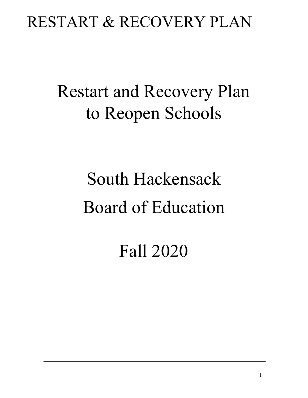## Restart and Recovery Plan to Reopen Schools

# South Hackensack Board of Education

Fall 2020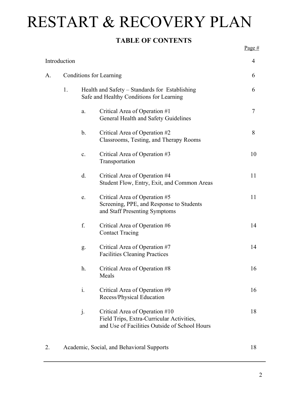#### **TABLE OF CONTENTS**

| Introduction |                         |                                                                                            |                                                                                                                              |    |  |  |
|--------------|-------------------------|--------------------------------------------------------------------------------------------|------------------------------------------------------------------------------------------------------------------------------|----|--|--|
| А.           | Conditions for Learning |                                                                                            |                                                                                                                              |    |  |  |
|              | 1.                      | Health and Safety – Standards for Establishing<br>Safe and Healthy Conditions for Learning |                                                                                                                              |    |  |  |
|              |                         | a.                                                                                         | Critical Area of Operation #1<br>General Health and Safety Guidelines                                                        | 7  |  |  |
|              |                         | $\mathbf b$ .                                                                              | Critical Area of Operation #2<br>Classrooms, Testing, and Therapy Rooms                                                      | 8  |  |  |
|              |                         | $\mathbf{c}$ .                                                                             | Critical Area of Operation #3<br>Transportation                                                                              | 10 |  |  |
|              |                         | d.                                                                                         | Critical Area of Operation #4<br>Student Flow, Entry, Exit, and Common Areas                                                 | 11 |  |  |
|              |                         | e.                                                                                         | Critical Area of Operation #5<br>Screening, PPE, and Response to Students<br>and Staff Presenting Symptoms                   | 11 |  |  |
|              |                         | f.                                                                                         | Critical Area of Operation #6<br><b>Contact Tracing</b>                                                                      | 14 |  |  |
|              |                         | g.                                                                                         | Critical Area of Operation #7<br><b>Facilities Cleaning Practices</b>                                                        | 14 |  |  |
|              |                         | h.                                                                                         | Critical Area of Operation #8<br>Meals                                                                                       | 16 |  |  |
|              |                         | $\mathbf{i}$ .                                                                             | Critical Area of Operation #9<br>Recess/Physical Education                                                                   | 16 |  |  |
|              |                         | j.                                                                                         | Critical Area of Operation #10<br>Field Trips, Extra-Curricular Activities,<br>and Use of Facilities Outside of School Hours | 18 |  |  |
|              |                         |                                                                                            | Academic, Social, and Behavioral Supports                                                                                    | 18 |  |  |

Page #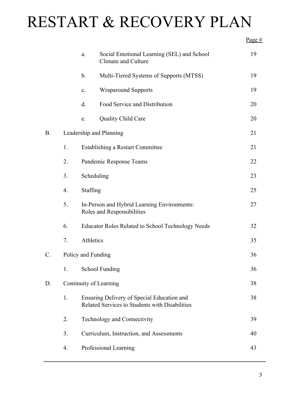|           |                        | a.                                                                        | Social Emotional Learning (SEL) and School<br>Climate and Culture                            | 19 |  |
|-----------|------------------------|---------------------------------------------------------------------------|----------------------------------------------------------------------------------------------|----|--|
|           |                        | $\mathbf b$ .                                                             | Multi-Tiered Systems of Supports (MTSS)                                                      | 19 |  |
|           |                        | $\mathbf{c}$ .                                                            | <b>Wraparound Supports</b>                                                                   | 19 |  |
|           |                        | d.                                                                        | Food Service and Distribution                                                                | 20 |  |
|           |                        | e.                                                                        | Quality Child Care                                                                           | 20 |  |
| <b>B.</b> |                        | Leadership and Planning                                                   | 21                                                                                           |    |  |
|           | 1.                     | Establishing a Restart Committee                                          |                                                                                              |    |  |
|           | 2.                     | Pandemic Response Teams                                                   |                                                                                              |    |  |
|           | 3.                     | Scheduling                                                                |                                                                                              |    |  |
|           | $\overline{4}$ .       | <b>Staffing</b>                                                           |                                                                                              | 25 |  |
|           | 5.                     | In-Person and Hybrid Learning Environments:<br>Roles and Responsibilities |                                                                                              |    |  |
|           | 6.                     |                                                                           | <b>Educator Roles Related to School Technology Needs</b>                                     | 32 |  |
|           | 7.                     | Athletics                                                                 |                                                                                              | 35 |  |
| $C$ .     | Policy and Funding     |                                                                           |                                                                                              | 36 |  |
|           | 1.                     |                                                                           | <b>School Funding</b>                                                                        | 36 |  |
| D.        | Continuity of Learning |                                                                           |                                                                                              |    |  |
|           | 1.                     |                                                                           | Ensuring Delivery of Special Education and<br>Related Services to Students with Disabilities | 38 |  |
|           | 2.                     |                                                                           | Technology and Connectivity                                                                  | 39 |  |
|           | 3.                     |                                                                           | Curriculum, Instruction, and Assessments                                                     | 40 |  |
|           | 4.                     |                                                                           | Professional Learning                                                                        | 43 |  |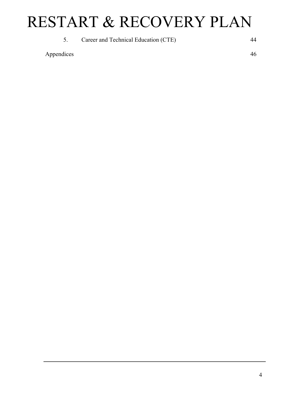5. Career and Technical Education (CTE) 44

Appendices 46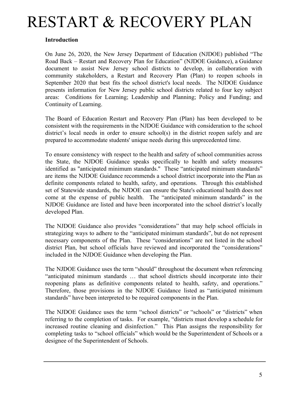#### **Introduction**

On June 26, 2020, the New Jersey Department of Education (NJDOE) published "The Road Back – Restart and Recovery Plan for Education" (NJDOE Guidance), a Guidance document to assist New Jersey school districts to develop, in collaboration with community stakeholders, a Restart and Recovery Plan (Plan) to reopen schools in September 2020 that best fits the school district's local needs. The NJDOE Guidance presents information for New Jersey public school districts related to four key subject areas: Conditions for Learning; Leadership and Planning; Policy and Funding; and Continuity of Learning.

The Board of Education Restart and Recovery Plan (Plan) has been developed to be consistent with the requirements in the NJDOE Guidance with consideration to the school district's local needs in order to ensure school(s) in the district reopen safely and are prepared to accommodate students' unique needs during this unprecedented time.

To ensure consistency with respect to the health and safety of school communities across the State, the NJDOE Guidance speaks specifically to health and safety measures identified as "anticipated minimum standards." These "anticipated minimum standards" are items the NJDOE Guidance recommends a school district incorporate into the Plan as definite components related to health, safety, and operations. Through this established set of Statewide standards, the NJDOE can ensure the State's educational health does not come at the expense of public health. The "anticipated minimum standards" in the NJDOE Guidance are listed and have been incorporated into the school district's locally developed Plan.

The NJDOE Guidance also provides "considerations" that may help school officials in strategizing ways to adhere to the "anticipated minimum standards", but do not represent necessary components of the Plan. These "considerations" are not listed in the school district Plan, but school officials have reviewed and incorporated the "considerations" included in the NJDOE Guidance when developing the Plan.

The NJDOE Guidance uses the term "should" throughout the document when referencing "anticipated minimum standards … that school districts should incorporate into their reopening plans as definitive components related to health, safety, and operations." Therefore, those provisions in the NJDOE Guidance listed as "anticipated minimum standards" have been interpreted to be required components in the Plan.

The NJDOE Guidance uses the term "school districts" or "schools" or "districts" when referring to the completion of tasks. For example, "districts must develop a schedule for increased routine cleaning and disinfection." This Plan assigns the responsibility for completing tasks to "school officials" which would be the Superintendent of Schools or a designee of the Superintendent of Schools.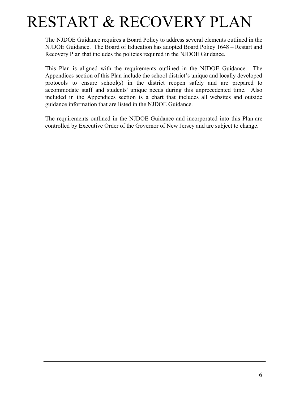The NJDOE Guidance requires a Board Policy to address several elements outlined in the NJDOE Guidance. The Board of Education has adopted Board Policy 1648 – Restart and Recovery Plan that includes the policies required in the NJDOE Guidance.

This Plan is aligned with the requirements outlined in the NJDOE Guidance. The Appendices section of this Plan include the school district's unique and locally developed protocols to ensure school(s) in the district reopen safely and are prepared to accommodate staff and students' unique needs during this unprecedented time. Also included in the Appendices section is a chart that includes all websites and outside guidance information that are listed in the NJDOE Guidance.

The requirements outlined in the NJDOE Guidance and incorporated into this Plan are controlled by Executive Order of the Governor of New Jersey and are subject to change.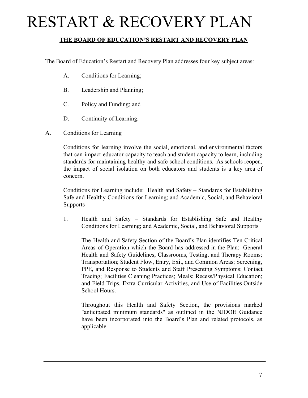#### **THE BOARD OF EDUCATION'S RESTART AND RECOVERY PLAN**

The Board of Education's Restart and Recovery Plan addresses four key subject areas:

- A. Conditions for Learning;
- B. Leadership and Planning;
- C. Policy and Funding; and
- D. Continuity of Learning.
- A. Conditions for Learning

Conditions for learning involve the social, emotional, and environmental factors that can impact educator capacity to teach and student capacity to learn, including standards for maintaining healthy and safe school conditions. As schools reopen, the impact of social isolation on both educators and students is a key area of concern.

Conditions for Learning include: Health and Safety – Standards for Establishing Safe and Healthy Conditions for Learning; and Academic, Social, and Behavioral **Supports** 

1. Health and Safety – Standards for Establishing Safe and Healthy Conditions for Learning; and Academic, Social, and Behavioral Supports

The Health and Safety Section of the Board's Plan identifies Ten Critical Areas of Operation which the Board has addressed in the Plan: General Health and Safety Guidelines; Classrooms, Testing, and Therapy Rooms; Transportation; Student Flow, Entry, Exit, and Common Areas; Screening, PPE, and Response to Students and Staff Presenting Symptoms; Contact Tracing; Facilities Cleaning Practices; Meals; Recess/Physical Education; and Field Trips, Extra-Curricular Activities, and Use of Facilities Outside School Hours.

Throughout this Health and Safety Section, the provisions marked "anticipated minimum standards" as outlined in the NJDOE Guidance have been incorporated into the Board's Plan and related protocols, as applicable.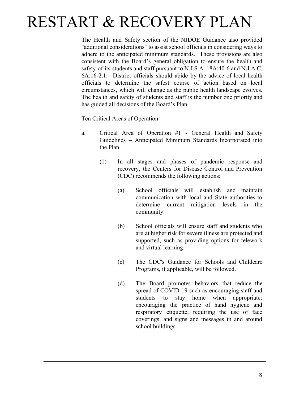The Health and Safety section of the NJDOE Guidance also provided "additional considerations" to assist school officials in considering ways to adhere to the anticipated minimum standards. These provisions are also consistent with the Board's general obligation to ensure the health and safety of its students and staff pursuant to N.J.S.A. 18A:40-6 and N.J.A.C. 6A:16-2.1. District officials should abide by the advice of local health officials to determine the safest course of action based on local circumstances, which will change as the public health landscape evolves. The health and safety of students and staff is the number one priority and has guided all decisions of the Board's Plan.

Ten Critical Areas of Operation

- a. Critical Area of Operation #1 General Health and Safety Guidelines – Anticipated Minimum Standards Incorporated into the Plan
	- (1) In all stages and phases of pandemic response and recovery, the Centers for Disease Control and Prevention (CDC) recommends the following actions:
		- (a) School officials will establish and maintain communication with local and State authorities to determine current mitigation levels in the community.
		- (b) School officials will ensure staff and students who are at higher risk for severe illness are protected and supported, such as providing options for telework and virtual learning.
		- (c) The CDC's Guidance for Schools and Childcare Programs, if applicable, will be followed.
		- (d) The Board promotes behaviors that reduce the spread of COVID-19 such as encouraging staff and students to stay home when appropriate; encouraging the practice of hand hygiene and respiratory etiquette; requiring the use of face coverings; and signs and messages in and around school buildings.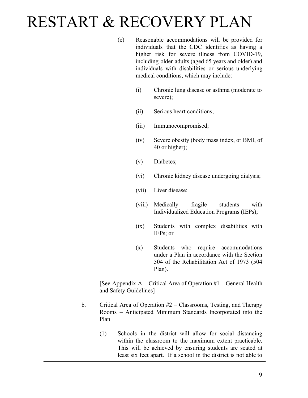- (e) Reasonable accommodations will be provided for individuals that the CDC identifies as having a higher risk for severe illness from COVID-19, including older adults (aged 65 years and older) and individuals with disabilities or serious underlying medical conditions, which may include:
	- (i) Chronic lung disease or asthma (moderate to severe);
	- (ii) Serious heart conditions;
	- (iii) Immunocompromised;
	- (iv) Severe obesity (body mass index, or BMI, of 40 or higher);
	- (v) Diabetes;
	- (vi) Chronic kidney disease undergoing dialysis;
	- (vii) Liver disease;
	- (viii) Medically fragile students with Individualized Education Programs (IEPs);
	- (ix) Students with complex disabilities with IEPs; or
	- (x) Students who require accommodations under a Plan in accordance with the Section 504 of the Rehabilitation Act of 1973 (504 Plan).

[See Appendix A – Critical Area of Operation #1 – General Health and Safety Guidelines]

- b. Critical Area of Operation  $#2 \text{Classrooms}$ , Testing, and Therapy Rooms – Anticipated Minimum Standards Incorporated into the Plan
	- (1) Schools in the district will allow for social distancing within the classroom to the maximum extent practicable. This will be achieved by ensuring students are seated at least six feet apart. If a school in the district is not able to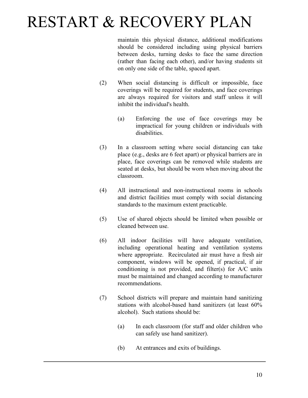maintain this physical distance, additional modifications should be considered including using physical barriers between desks, turning desks to face the same direction (rather than facing each other), and/or having students sit on only one side of the table, spaced apart.

- (2) When social distancing is difficult or impossible, face coverings will be required for students, and face coverings are always required for visitors and staff unless it will inhibit the individual's health.
	- (a) Enforcing the use of face coverings may be impractical for young children or individuals with disabilities.
- (3) In a classroom setting where social distancing can take place (e.g., desks are 6 feet apart) or physical barriers are in place, face coverings can be removed while students are seated at desks, but should be worn when moving about the classroom.
- (4) All instructional and non-instructional rooms in schools and district facilities must comply with social distancing standards to the maximum extent practicable.
- (5) Use of shared objects should be limited when possible or cleaned between use.
- (6) All indoor facilities will have adequate ventilation, including operational heating and ventilation systems where appropriate. Recirculated air must have a fresh air component, windows will be opened, if practical, if air conditioning is not provided, and filter(s) for A/C units must be maintained and changed according to manufacturer recommendations.
- (7) School districts will prepare and maintain hand sanitizing stations with alcohol-based hand sanitizers (at least 60% alcohol). Such stations should be:
	- (a) In each classroom (for staff and older children who can safely use hand sanitizer).
	- (b) At entrances and exits of buildings.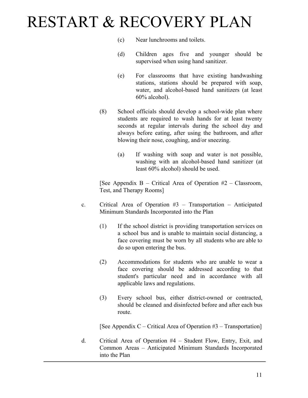- (c) Near lunchrooms and toilets.
- (d) Children ages five and younger should be supervised when using hand sanitizer.
- (e) For classrooms that have existing handwashing stations, stations should be prepared with soap, water, and alcohol-based hand sanitizers (at least 60% alcohol).
- (8) School officials should develop a school-wide plan where students are required to wash hands for at least twenty seconds at regular intervals during the school day and always before eating, after using the bathroom, and after blowing their nose, coughing, and/or sneezing.
	- (a) If washing with soap and water is not possible, washing with an alcohol-based hand sanitizer (at least 60% alcohol) should be used.

[See Appendix  $B -$  Critical Area of Operation  $#2 -$  Classroom, Test, and Therapy Rooms]

- c. Critical Area of Operation #3 Transportation Anticipated Minimum Standards Incorporated into the Plan
	- (1) If the school district is providing transportation services on a school bus and is unable to maintain social distancing, a face covering must be worn by all students who are able to do so upon entering the bus.
	- (2) Accommodations for students who are unable to wear a face covering should be addressed according to that student's particular need and in accordance with all applicable laws and regulations.
	- (3) Every school bus, either district-owned or contracted, should be cleaned and disinfected before and after each bus route.

[See Appendix C – Critical Area of Operation  $#3$  – Transportation]

d. Critical Area of Operation #4 – Student Flow, Entry, Exit, and Common Areas – Anticipated Minimum Standards Incorporated into the Plan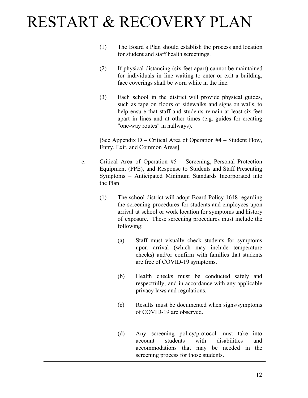- (1) The Board's Plan should establish the process and location for student and staff health screenings.
- (2) If physical distancing (six feet apart) cannot be maintained for individuals in line waiting to enter or exit a building, face coverings shall be worn while in the line.
- (3) Each school in the district will provide physical guides, such as tape on floors or sidewalks and signs on walls, to help ensure that staff and students remain at least six feet apart in lines and at other times (e.g. guides for creating "one-way routes" in hallways).

[See Appendix D – Critical Area of Operation #4 – Student Flow, Entry, Exit, and Common Areas]

- e. Critical Area of Operation #5 Screening, Personal Protection Equipment (PPE), and Response to Students and Staff Presenting Symptoms – Anticipated Minimum Standards Incorporated into the Plan
	- (1) The school district will adopt Board Policy 1648 regarding the screening procedures for students and employees upon arrival at school or work location for symptoms and history of exposure. These screening procedures must include the following:
		- (a) Staff must visually check students for symptoms upon arrival (which may include temperature checks) and/or confirm with families that students are free of COVID-19 symptoms.
		- (b) Health checks must be conducted safely and respectfully, and in accordance with any applicable privacy laws and regulations.
		- (c) Results must be documented when signs/symptoms of COVID-19 are observed.
		- (d) Any screening policy/protocol must take into account students with disabilities and accommodations that may be needed in the screening process for those students.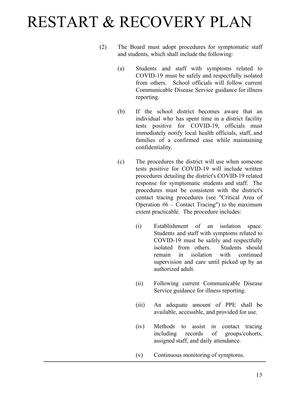- (2) The Board must adopt procedures for symptomatic staff and students, which shall include the following:
	- (a) Students and staff with symptoms related to COVID-19 must be safely and respectfully isolated from others. School officials will follow current Communicable Disease Service guidance for illness reporting.
	- (b) If the school district becomes aware that an individual who has spent time in a district facility tests positive for COVID-19, officials must immediately notify local health officials, staff, and families of a confirmed case while maintaining confidentiality.
	- (c) The procedures the district will use when someone tests positive for COVID-19 will include written procedures detailing the district's COVID-19 related response for symptomatic students and staff. The procedures must be consistent with the district's contact tracing procedures (see "Critical Area of Operation  $#6$  – Contact Tracing") to the maximum extent practicable. The procedure includes:
		- (i) Establishment of an isolation space. Students and staff with symptoms related to COVID-19 must be safely and respectfully isolated from others. Students should remain in isolation with continued supervision and care until picked up by an authorized adult.
		- (ii) Following current Communicable Disease Service guidance for illness reporting.
		- (iii) An adequate amount of PPE shall be available, accessible, and provided for use.
		- (iv) Methods to assist in contact tracing including records of groups/cohorts, assigned staff, and daily attendance.
		- (v) Continuous monitoring of symptoms.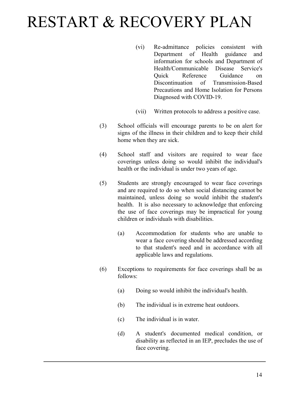- (vi) Re-admittance policies consistent with Department of Health guidance and information for schools and Department of Health/Communicable Disease Service's Quick Reference Guidance on Discontinuation of Transmission-Based Precautions and Home Isolation for Persons Diagnosed with COVID-19.
- (vii) Written protocols to address a positive case.
- (3) School officials will encourage parents to be on alert for signs of the illness in their children and to keep their child home when they are sick.
- (4) School staff and visitors are required to wear face coverings unless doing so would inhibit the individual's health or the individual is under two years of age.
- (5) Students are strongly encouraged to wear face coverings and are required to do so when social distancing cannot be maintained, unless doing so would inhibit the student's health. It is also necessary to acknowledge that enforcing the use of face coverings may be impractical for young children or individuals with disabilities.
	- (a) Accommodation for students who are unable to wear a face covering should be addressed according to that student's need and in accordance with all applicable laws and regulations.
- (6) Exceptions to requirements for face coverings shall be as follows:
	- (a) Doing so would inhibit the individual's health.
	- (b) The individual is in extreme heat outdoors.
	- (c) The individual is in water.
	- (d) A student's documented medical condition, or disability as reflected in an IEP, precludes the use of face covering.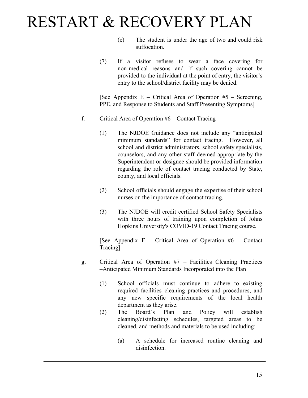- (e) The student is under the age of two and could risk suffocation.
- (7) If a visitor refuses to wear a face covering for non-medical reasons and if such covering cannot be provided to the individual at the point of entry, the visitor's entry to the school/district facility may be denied.

[See Appendix E – Critical Area of Operation  $#5$  – Screening, PPE, and Response to Students and Staff Presenting Symptoms]

- f. Critical Area of Operation #6 Contact Tracing
	- (1) The NJDOE Guidance does not include any "anticipated minimum standards" for contact tracing. However, all school and district administrators, school safety specialists, counselors, and any other staff deemed appropriate by the Superintendent or designee should be provided information regarding the role of contact tracing conducted by State, county, and local officials.
	- (2) School officials should engage the expertise of their school nurses on the importance of contact tracing.
	- (3) The NJDOE will credit certified School Safety Specialists with three hours of training upon completion of Johns Hopkins University's COVID-19 Contact Tracing course.

[See Appendix  $F -$  Critical Area of Operation #6 – Contact Tracing]

- g. Critical Area of Operation #7 Facilities Cleaning Practices –Anticipated Minimum Standards Incorporated into the Plan
	- (1) School officials must continue to adhere to existing required facilities cleaning practices and procedures, and any new specific requirements of the local health department as they arise.
	- (2) The Board's Plan and Policy will establish cleaning/disinfecting schedules, targeted areas to be cleaned, and methods and materials to be used including:
		- (a) A schedule for increased routine cleaning and disinfection.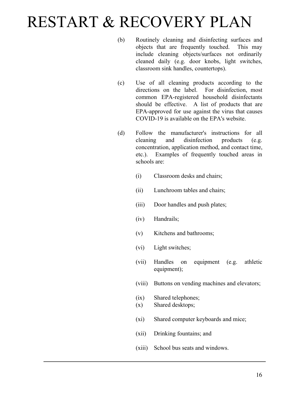- (b) Routinely cleaning and disinfecting surfaces and objects that are frequently touched. This may include cleaning objects/surfaces not ordinarily cleaned daily (e.g. door knobs, light switches, classroom sink handles, countertops).
- (c) Use of all cleaning products according to the directions on the label. For disinfection, most common EPA-registered household disinfectants should be effective. A list of products that are EPA-approved for use against the virus that causes COVID-19 is available on the EPA's website.
- (d) Follow the manufacturer's instructions for all cleaning and disinfection products (e.g. concentration, application method, and contact time, etc.). Examples of frequently touched areas in schools are:
	- (i) Classroom desks and chairs;
	- (ii) Lunchroom tables and chairs;
	- (iii) Door handles and push plates;
	- (iv) Handrails;
	- (v) Kitchens and bathrooms;
	- (vi) Light switches;
	- (vii) Handles on equipment (e.g. athletic equipment);
	- (viii) Buttons on vending machines and elevators;
	- (ix) Shared telephones;
	- (x) Shared desktops;
	- (xi) Shared computer keyboards and mice;
	- (xii) Drinking fountains; and
	- (xiii) School bus seats and windows.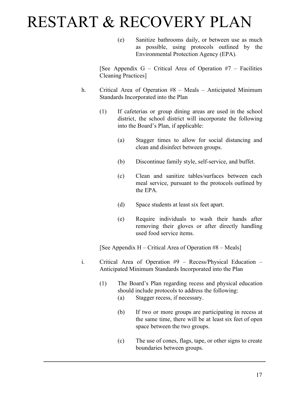(e) Sanitize bathrooms daily, or between use as much as possible, using protocols outlined by the Environmental Protection Agency (EPA).

[See Appendix G – Critical Area of Operation  $#7$  – Facilities Cleaning Practices]

- h. Critical Area of Operation #8 Meals Anticipated Minimum Standards Incorporated into the Plan
	- (1) If cafeterias or group dining areas are used in the school district, the school district will incorporate the following into the Board's Plan, if applicable:
		- (a) Stagger times to allow for social distancing and clean and disinfect between groups.
		- (b) Discontinue family style, self-service, and buffet.
		- (c) Clean and sanitize tables/surfaces between each meal service, pursuant to the protocols outlined by the EPA.
		- (d) Space students at least six feet apart.
		- (e) Require individuals to wash their hands after removing their gloves or after directly handling used food service items.

[See Appendix H – Critical Area of Operation #8 – Meals]

- i. Critical Area of Operation #9 Recess/Physical Education Anticipated Minimum Standards Incorporated into the Plan
	- (1) The Board's Plan regarding recess and physical education should include protocols to address the following:
		- (a) Stagger recess, if necessary.
		- (b) If two or more groups are participating in recess at the same time, there will be at least six feet of open space between the two groups.
		- (c) The use of cones, flags, tape, or other signs to create boundaries between groups.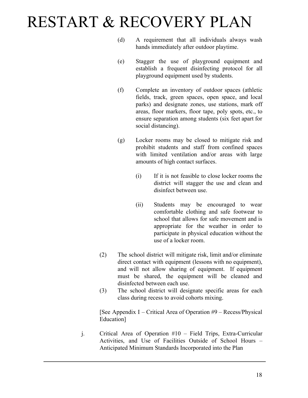- (d) A requirement that all individuals always wash hands immediately after outdoor playtime.
- (e) Stagger the use of playground equipment and establish a frequent disinfecting protocol for all playground equipment used by students.
- (f) Complete an inventory of outdoor spaces (athletic fields, track, green spaces, open space, and local parks) and designate zones, use stations, mark off areas, floor markers, floor tape, poly spots, etc., to ensure separation among students (six feet apart for social distancing).
- (g) Locker rooms may be closed to mitigate risk and prohibit students and staff from confined spaces with limited ventilation and/or areas with large amounts of high contact surfaces.
	- (i) If it is not feasible to close locker rooms the district will stagger the use and clean and disinfect between use.
	- (ii) Students may be encouraged to wear comfortable clothing and safe footwear to school that allows for safe movement and is appropriate for the weather in order to participate in physical education without the use of a locker room.
- (2) The school district will mitigate risk, limit and/or eliminate direct contact with equipment (lessons with no equipment), and will not allow sharing of equipment. If equipment must be shared, the equipment will be cleaned and disinfected between each use.
- (3) The school district will designate specific areas for each class during recess to avoid cohorts mixing.

[See Appendix I – Critical Area of Operation #9 – Recess/Physical Education]

j. Critical Area of Operation #10 – Field Trips, Extra-Curricular Activities, and Use of Facilities Outside of School Hours – Anticipated Minimum Standards Incorporated into the Plan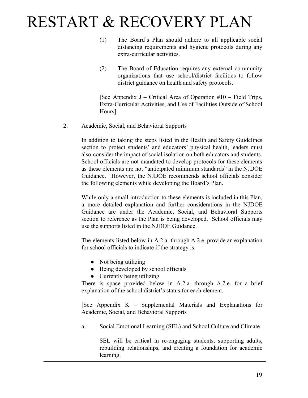- (1) The Board's Plan should adhere to all applicable social distancing requirements and hygiene protocols during any extra-curricular activities.
- (2) The Board of Education requires any external community organizations that use school/district facilities to follow district guidance on health and safety protocols.

[See Appendix J – Critical Area of Operation  $#10$  – Field Trips, Extra-Curricular Activities, and Use of Facilities Outside of School Hours]

2. Academic, Social, and Behavioral Supports

In addition to taking the steps listed in the Health and Safety Guidelines section to protect students' and educators' physical health, leaders must also consider the impact of social isolation on both educators and students. School officials are not mandated to develop protocols for these elements as these elements are not "anticipated minimum standards" in the NJDOE Guidance. However, the NJDOE recommends school officials consider the following elements while developing the Board's Plan.

While only a small introduction to these elements is included in this Plan, a more detailed explanation and further considerations in the NJDOE Guidance are under the Academic, Social, and Behavioral Supports section to reference as the Plan is being developed. School officials may use the supports listed in the NJDOE Guidance.

The elements listed below in A.2.a. through A.2.e. provide an explanation for school officials to indicate if the strategy is:

- Not being utilizing
- Being developed by school officials
- Currently being utilizing

There is space provided below in A.2.a. through A.2.e. for a brief explanation of the school district's status for each element.

[See Appendix K – Supplemental Materials and Explanations for Academic, Social, and Behavioral Supports]

a. Social Emotional Learning (SEL) and School Culture and Climate

SEL will be critical in re-engaging students, supporting adults, rebuilding relationships, and creating a foundation for academic learning.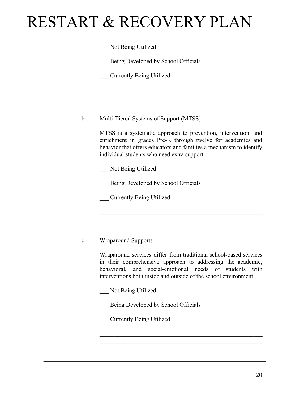Being Developed by School Officials

\_\_\_ Currently Being Utilized

b. Multi-Tiered Systems of Support (MTSS)

MTSS is a systematic approach to prevention, intervention, and enrichment in grades Pre-K through twelve for academics and behavior that offers educators and families a mechanism to identify individual students who need extra support.

 $\mathcal{L}_\text{max}$  , and the contract of the contract of the contract of the contract of the contract of the contract of  $\mathcal{L}_\text{max}$  , and the contract of the contract of the contract of the contract of the contract of the contract of  $\mathcal{L}_\text{max}$  , and the contract of the contract of the contract of the contract of the contract of the contract of

\_\_\_ Not Being Utilized

Being Developed by School Officials

\_\_\_ Currently Being Utilized

#### c. Wraparound Supports

Wraparound services differ from traditional school-based services in their comprehensive approach to addressing the academic, behavioral, and social-emotional needs of students with interventions both inside and outside of the school environment.

 $\mathcal{L}_\text{max}$  , and the contract of the contract of the contract of the contract of the contract of the contract of  $\mathcal{L}_\text{max}$  , and the contract of the contract of the contract of the contract of the contract of the contract of  $\mathcal{L}_\text{max}$  , and the contract of the contract of the contract of the contract of the contract of the contract of

 $\mathcal{L}_\text{max}$  , and the contract of the contract of the contract of the contract of the contract of the contract of  $\mathcal{L}_\text{max}$  , and the contract of the contract of the contract of the contract of the contract of the contract of  $\mathcal{L}_\text{max}$  , and the contract of the contract of the contract of the contract of the contract of the contract of

\_\_\_ Not Being Utilized

\_\_\_ Being Developed by School Officials

\_\_\_ Currently Being Utilized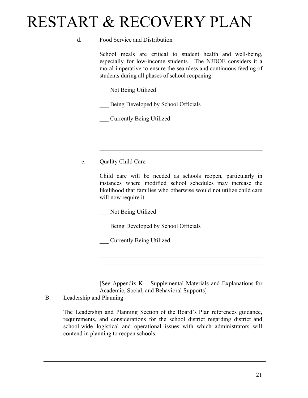#### d. Food Service and Distribution

School meals are critical to student health and well-being, especially for low-income students. The NJDOE considers it a moral imperative to ensure the seamless and continuous feeding of students during all phases of school reopening.

\_\_\_ Not Being Utilized

Being Developed by School Officials

\_\_\_ Currently Being Utilized

e. Quality Child Care

Child care will be needed as schools reopen, particularly in instances where modified school schedules may increase the likelihood that families who otherwise would not utilize child care will now require it.

 $\mathcal{L}_\text{max}$  , and the contract of the contract of the contract of the contract of the contract of the contract of  $\mathcal{L}_\text{max}$  , and the contract of the contract of the contract of the contract of the contract of the contract of  $\mathcal{L}_\text{max}$  , and the contract of the contract of the contract of the contract of the contract of the contract of

\_\_\_ Not Being Utilized

Being Developed by School Officials

\_\_\_ Currently Being Utilized

[See Appendix  $K -$  Supplemental Materials and Explanations for Academic, Social, and Behavioral Supports]

 $\mathcal{L}_\text{max}$  , and the contract of the contract of the contract of the contract of the contract of the contract of  $\mathcal{L}_\text{max}$  , and the contract of the contract of the contract of the contract of the contract of the contract of  $\mathcal{L}_\text{max}$  , and the contract of the contract of the contract of the contract of the contract of the contract of

#### B. Leadership and Planning

The Leadership and Planning Section of the Board's Plan references guidance, requirements, and considerations for the school district regarding district and school-wide logistical and operational issues with which administrators will contend in planning to reopen schools.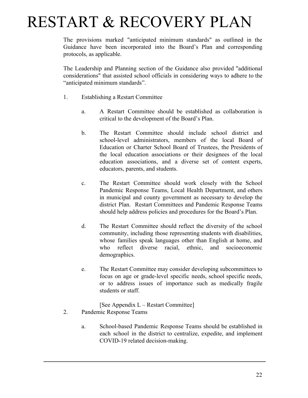The provisions marked "anticipated minimum standards" as outlined in the Guidance have been incorporated into the Board's Plan and corresponding protocols, as applicable.

The Leadership and Planning section of the Guidance also provided "additional considerations" that assisted school officials in considering ways to adhere to the "anticipated minimum standards".

- 1. Establishing a Restart Committee
	- a. A Restart Committee should be established as collaboration is critical to the development of the Board's Plan.
	- b. The Restart Committee should include school district and school-level administrators, members of the local Board of Education or Charter School Board of Trustees, the Presidents of the local education associations or their designees of the local education associations, and a diverse set of content experts, educators, parents, and students.
	- c. The Restart Committee should work closely with the School Pandemic Response Teams, Local Health Department, and others in municipal and county government as necessary to develop the district Plan. Restart Committees and Pandemic Response Teams should help address policies and procedures for the Board's Plan.
	- d. The Restart Committee should reflect the diversity of the school community, including those representing students with disabilities, whose families speak languages other than English at home, and who reflect diverse racial, ethnic, and socioeconomic demographics.
	- e. The Restart Committee may consider developing subcommittees to focus on age or grade-level specific needs, school specific needs, or to address issues of importance such as medically fragile students or staff.

[See Appendix L – Restart Committee]

- 2. Pandemic Response Teams
	- a. School-based Pandemic Response Teams should be established in each school in the district to centralize, expedite, and implement COVID-19 related decision-making.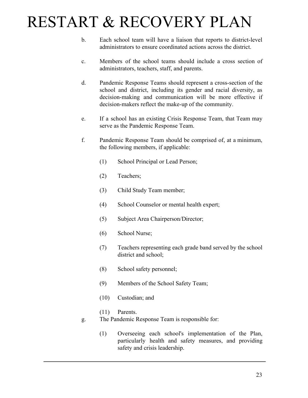- b. Each school team will have a liaison that reports to district-level administrators to ensure coordinated actions across the district.
- c. Members of the school teams should include a cross section of administrators, teachers, staff, and parents.
- d. Pandemic Response Teams should represent a cross-section of the school and district, including its gender and racial diversity, as decision-making and communication will be more effective if decision-makers reflect the make-up of the community.
- e. If a school has an existing Crisis Response Team, that Team may serve as the Pandemic Response Team.
- f. Pandemic Response Team should be comprised of, at a minimum, the following members, if applicable:
	- (1) School Principal or Lead Person;
	- (2) Teachers;
	- (3) Child Study Team member;
	- (4) School Counselor or mental health expert;
	- (5) Subject Area Chairperson/Director;
	- (6) School Nurse;
	- (7) Teachers representing each grade band served by the school district and school;
	- (8) School safety personnel;
	- (9) Members of the School Safety Team;
	- (10) Custodian; and
	- (11) Parents.
- g. The Pandemic Response Team is responsible for:
	- (1) Overseeing each school's implementation of the Plan, particularly health and safety measures, and providing safety and crisis leadership.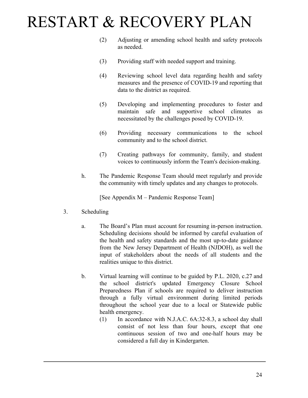- (2) Adjusting or amending school health and safety protocols as needed.
- (3) Providing staff with needed support and training.
- (4) Reviewing school level data regarding health and safety measures and the presence of COVID-19 and reporting that data to the district as required.
- (5) Developing and implementing procedures to foster and maintain safe and supportive school climates as necessitated by the challenges posed by COVID-19.
- (6) Providing necessary communications to the school community and to the school district.
- (7) Creating pathways for community, family, and student voices to continuously inform the Team's decision-making.
- h. The Pandemic Response Team should meet regularly and provide the community with timely updates and any changes to protocols.

[See Appendix M – Pandemic Response Team]

- 3. Scheduling
	- a. The Board's Plan must account for resuming in-person instruction. Scheduling decisions should be informed by careful evaluation of the health and safety standards and the most up-to-date guidance from the New Jersey Department of Health (NJDOH), as well the input of stakeholders about the needs of all students and the realities unique to this district.
	- b. Virtual learning will continue to be guided by P.L. 2020, c.27 and the school district's updated Emergency Closure School Preparedness Plan if schools are required to deliver instruction through a fully virtual environment during limited periods throughout the school year due to a local or Statewide public health emergency.
		- (1) In accordance with N.J.A.C. 6A:32-8.3, a school day shall consist of not less than four hours, except that one continuous session of two and one-half hours may be considered a full day in Kindergarten.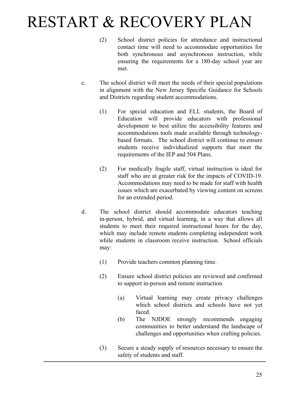- (2) School district policies for attendance and instructional contact time will need to accommodate opportunities for both synchronous and asynchronous instruction, while ensuring the requirements for a 180-day school year are met.
- c. The school district will meet the needs of their special populations in alignment with the New Jersey Specific Guidance for Schools and Districts regarding student accommodations.
	- (1) For special education and ELL students, the Board of Education will provide educators with professional development to best utilize the accessibility features and accommodations tools made available through technologybased formats. The school district will continue to ensure students receive individualized supports that meet the requirements of the IEP and 504 Plans.
	- (2) For medically fragile staff, virtual instruction is ideal for staff who are at greater risk for the impacts of COVID-19. Accommodations may need to be made for staff with health issues which are exacerbated by viewing content on screens for an extended period.
- d. The school district should accommodate educators teaching in-person, hybrid, and virtual learning, in a way that allows all students to meet their required instructional hours for the day, which may include remote students completing independent work while students in classroom receive instruction. School officials may:
	- (1) Provide teachers common planning time.
	- (2) Ensure school district policies are reviewed and confirmed to support in-person and remote instruction.
		- (a) Virtual learning may create privacy challenges which school districts and schools have not yet faced.
		- (b) The NJDOE strongly recommends engaging communities to better understand the landscape of challenges and opportunities when crafting policies.
	- (3) Secure a steady supply of resources necessary to ensure the safety of students and staff.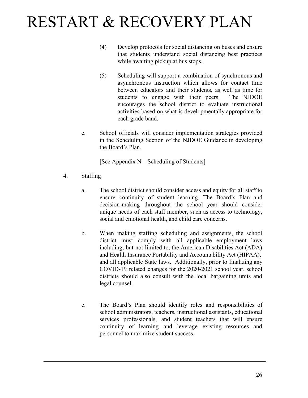- (4) Develop protocols for social distancing on buses and ensure that students understand social distancing best practices while awaiting pickup at bus stops.
- (5) Scheduling will support a combination of synchronous and asynchronous instruction which allows for contact time between educators and their students, as well as time for students to engage with their peers. The NJDOE encourages the school district to evaluate instructional activities based on what is developmentally appropriate for each grade band.
- e. School officials will consider implementation strategies provided in the Scheduling Section of the NJDOE Guidance in developing the Board's Plan.

[See Appendix N – Scheduling of Students]

- 4. Staffing
	- a. The school district should consider access and equity for all staff to ensure continuity of student learning. The Board's Plan and decision-making throughout the school year should consider unique needs of each staff member, such as access to technology, social and emotional health, and child care concerns.
	- b. When making staffing scheduling and assignments, the school district must comply with all applicable employment laws including, but not limited to, the American Disabilities Act (ADA) and Health Insurance Portability and Accountability Act (HIPAA), and all applicable State laws. Additionally, prior to finalizing any COVID-19 related changes for the 2020-2021 school year, school districts should also consult with the local bargaining units and legal counsel.
	- c. The Board's Plan should identify roles and responsibilities of school administrators, teachers, instructional assistants, educational services professionals, and student teachers that will ensure continuity of learning and leverage existing resources and personnel to maximize student success.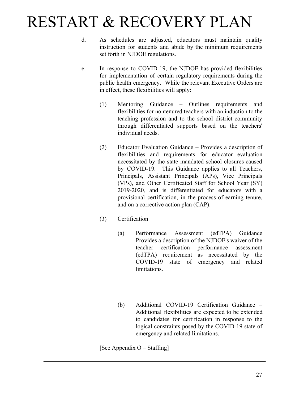- d. As schedules are adjusted, educators must maintain quality instruction for students and abide by the minimum requirements set forth in NJDOE regulations.
- e. In response to COVID-19, the NJDOE has provided flexibilities for implementation of certain regulatory requirements during the public health emergency. While the relevant Executive Orders are in effect, these flexibilities will apply:
	- (1) Mentoring Guidance Outlines requirements and flexibilities for nontenured teachers with an induction to the teaching profession and to the school district community through differentiated supports based on the teachers' individual needs.
	- (2) Educator Evaluation Guidance Provides a description of flexibilities and requirements for educator evaluation necessitated by the state mandated school closures caused by COVID-19. This Guidance applies to all Teachers, Principals, Assistant Principals (APs), Vice Principals (VPs), and Other Certificated Staff for School Year (SY) 2019-2020, and is differentiated for educators with a provisional certification, in the process of earning tenure, and on a corrective action plan (CAP).
	- (3) Certification
		- (a) Performance Assessment (edTPA) Guidance Provides a description of the NJDOE's waiver of the teacher certification performance assessment (edTPA) requirement as necessitated by the COVID-19 state of emergency and related **limitations**
		- (b) Additional COVID-19 Certification Guidance Additional flexibilities are expected to be extended to candidates for certification in response to the logical constraints posed by the COVID-19 state of emergency and related limitations.

[See Appendix O – Staffing]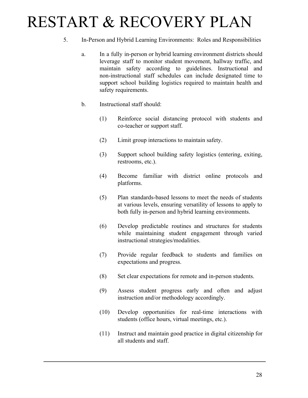- 5. In-Person and Hybrid Learning Environments: Roles and Responsibilities
	- a. In a fully in-person or hybrid learning environment districts should leverage staff to monitor student movement, hallway traffic, and maintain safety according to guidelines. Instructional and non-instructional staff schedules can include designated time to support school building logistics required to maintain health and safety requirements.
	- b. Instructional staff should:
		- (1) Reinforce social distancing protocol with students and co-teacher or support staff.
		- (2) Limit group interactions to maintain safety.
		- (3) Support school building safety logistics (entering, exiting, restrooms, etc.).
		- (4) Become familiar with district online protocols and platforms.
		- (5) Plan standards-based lessons to meet the needs of students at various levels, ensuring versatility of lessons to apply to both fully in-person and hybrid learning environments.
		- (6) Develop predictable routines and structures for students while maintaining student engagement through varied instructional strategies/modalities.
		- (7) Provide regular feedback to students and families on expectations and progress.
		- (8) Set clear expectations for remote and in-person students.
		- (9) Assess student progress early and often and adjust instruction and/or methodology accordingly.
		- (10) Develop opportunities for real-time interactions with students (office hours, virtual meetings, etc.).
		- (11) Instruct and maintain good practice in digital citizenship for all students and staff.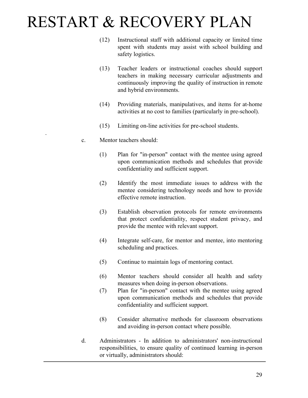- (12) Instructional staff with additional capacity or limited time spent with students may assist with school building and safety logistics.
- (13) Teacher leaders or instructional coaches should support teachers in making necessary curricular adjustments and continuously improving the quality of instruction in remote and hybrid environments.
- (14) Providing materials, manipulatives, and items for at-home activities at no cost to families (particularly in pre-school).
- (15) Limiting on-line activities for pre-school students.
- c. Mentor teachers should:

.

- (1) Plan for "in-person" contact with the mentee using agreed upon communication methods and schedules that provide confidentiality and sufficient support.
- (2) Identify the most immediate issues to address with the mentee considering technology needs and how to provide effective remote instruction.
- (3) Establish observation protocols for remote environments that protect confidentiality, respect student privacy, and provide the mentee with relevant support.
- (4) Integrate self-care, for mentor and mentee, into mentoring scheduling and practices.
- (5) Continue to maintain logs of mentoring contact.
- (6) Mentor teachers should consider all health and safety measures when doing in-person observations.
- (7) Plan for "in-person" contact with the mentee using agreed upon communication methods and schedules that provide confidentiality and sufficient support.
- (8) Consider alternative methods for classroom observations and avoiding in-person contact where possible.
- d. Administrators In addition to administrators' non-instructional responsibilities, to ensure quality of continued learning in-person or virtually, administrators should: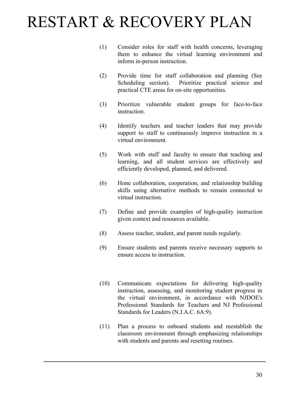- (1) Consider roles for staff with health concerns, leveraging them to enhance the virtual learning environment and inform in-person instruction.
- (2) Provide time for staff collaboration and planning (See Scheduling section). Prioritize practical science and practical CTE areas for on-site opportunities.
- (3) Prioritize vulnerable student groups for face-to-face **instruction**
- (4) Identify teachers and teacher leaders that may provide support to staff to continuously improve instruction in a virtual environment.
- (5) Work with staff and faculty to ensure that teaching and learning, and all student services are effectively and efficiently developed, planned, and delivered.
- (6) Hone collaboration, cooperation, and relationship building skills using alternative methods to remain connected to virtual instruction.
- (7) Define and provide examples of high-quality instruction given context and resources available.
- (8) Assess teacher, student, and parent needs regularly.
- (9) Ensure students and parents receive necessary supports to ensure access to instruction.
- (10) Communicate expectations for delivering high-quality instruction, assessing, and monitoring student progress in the virtual environment, in accordance with NJDOE's Professional Standards for Teachers and NJ Professional Standards for Leaders (N.J.A.C. 6A:9).
- (11) Plan a process to onboard students and reestablish the classroom environment through emphasizing relationships with students and parents and resetting routines.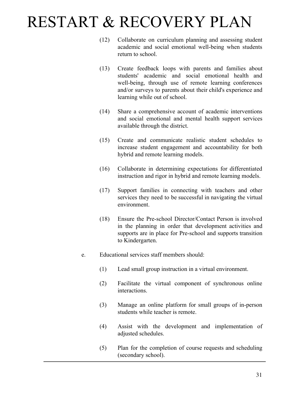- (12) Collaborate on curriculum planning and assessing student academic and social emotional well-being when students return to school.
- (13) Create feedback loops with parents and families about students' academic and social emotional health and well-being, through use of remote learning conferences and/or surveys to parents about their child's experience and learning while out of school.
- (14) Share a comprehensive account of academic interventions and social emotional and mental health support services available through the district.
- (15) Create and communicate realistic student schedules to increase student engagement and accountability for both hybrid and remote learning models.
- (16) Collaborate in determining expectations for differentiated instruction and rigor in hybrid and remote learning models.
- (17) Support families in connecting with teachers and other services they need to be successful in navigating the virtual environment.
- (18) Ensure the Pre-school Director/Contact Person is involved in the planning in order that development activities and supports are in place for Pre-school and supports transition to Kindergarten.
- e. Educational services staff members should:
	- (1) Lead small group instruction in a virtual environment.
	- (2) Facilitate the virtual component of synchronous online interactions.
	- (3) Manage an online platform for small groups of in-person students while teacher is remote.
	- (4) Assist with the development and implementation of adjusted schedules.
	- (5) Plan for the completion of course requests and scheduling (secondary school).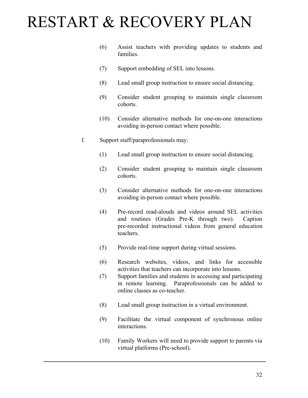- (6) Assist teachers with providing updates to students and families.
- (7) Support embedding of SEL into lessons.
- (8) Lead small group instruction to ensure social distancing.
- (9) Consider student grouping to maintain single classroom cohorts.
- (10) Consider alternative methods for one-on-one interactions avoiding in-person contact where possible.
- f. Support staff/paraprofessionals may:
	- (1) Lead small group instruction to ensure social distancing.
	- (2) Consider student grouping to maintain single classroom cohorts.
	- (3) Consider alternative methods for one-on-one interactions avoiding in-person contact where possible.
	- (4) Pre-record read-alouds and videos around SEL activities and routines (Grades Pre-K through two). Caption pre-recorded instructional videos from general education teachers.
	- (5) Provide real-time support during virtual sessions.
	- (6) Research websites, videos, and links for accessible activities that teachers can incorporate into lessons.
	- (7) Support families and students in accessing and participating in remote learning. Paraprofessionals can be added to online classes as co-teacher.
	- (8) Lead small group instruction in a virtual environment.
	- (9) Facilitate the virtual component of synchronous online interactions.
	- (10) Family Workers will need to provide support to parents via virtual platforms (Pre-school).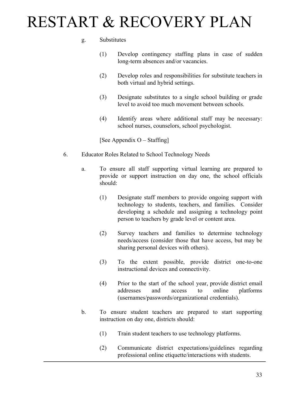#### g. Substitutes

- (1) Develop contingency staffing plans in case of sudden long-term absences and/or vacancies.
- (2) Develop roles and responsibilities for substitute teachers in both virtual and hybrid settings.
- (3) Designate substitutes to a single school building or grade level to avoid too much movement between schools.
- (4) Identify areas where additional staff may be necessary: school nurses, counselors, school psychologist.

[See Appendix O – Staffing]

- 6. Educator Roles Related to School Technology Needs
	- a. To ensure all staff supporting virtual learning are prepared to provide or support instruction on day one, the school officials should:
		- (1) Designate staff members to provide ongoing support with technology to students, teachers, and families. Consider developing a schedule and assigning a technology point person to teachers by grade level or content area.
		- (2) Survey teachers and families to determine technology needs/access (consider those that have access, but may be sharing personal devices with others).
		- (3) To the extent possible, provide district one-to-one instructional devices and connectivity.
		- (4) Prior to the start of the school year, provide district email addresses and access to online platforms (usernames/passwords/organizational credentials).
	- b. To ensure student teachers are prepared to start supporting instruction on day one, districts should:
		- (1) Train student teachers to use technology platforms.
		- (2) Communicate district expectations/guidelines regarding professional online etiquette/interactions with students.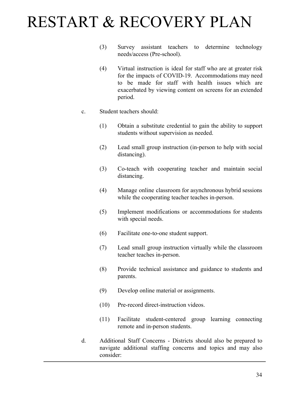- (3) Survey assistant teachers to determine technology needs/access (Pre-school).
- (4) Virtual instruction is ideal for staff who are at greater risk for the impacts of COVID-19. Accommodations may need to be made for staff with health issues which are exacerbated by viewing content on screens for an extended period.
- c. Student teachers should:
	- (1) Obtain a substitute credential to gain the ability to support students without supervision as needed.
	- (2) Lead small group instruction (in-person to help with social distancing).
	- (3) Co-teach with cooperating teacher and maintain social distancing.
	- (4) Manage online classroom for asynchronous hybrid sessions while the cooperating teacher teaches in-person.
	- (5) Implement modifications or accommodations for students with special needs.
	- (6) Facilitate one-to-one student support.
	- (7) Lead small group instruction virtually while the classroom teacher teaches in-person.
	- (8) Provide technical assistance and guidance to students and parents.
	- (9) Develop online material or assignments.
	- (10) Pre-record direct-instruction videos.
	- (11) Facilitate student-centered group learning connecting remote and in-person students.
- d. Additional Staff Concerns Districts should also be prepared to navigate additional staffing concerns and topics and may also consider: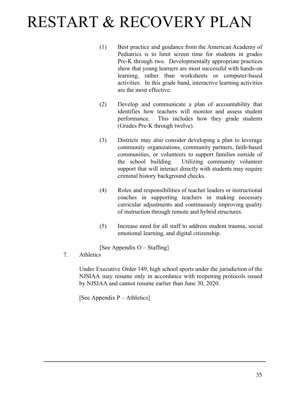- (1) Best practice and guidance from the American Academy of Pediatrics is to limit screen time for students in grades Pre-K through two. Developmentally appropriate practices show that young learners are most successful with hands-on learning, rather than worksheets or computer-based activities. In this grade band, interactive learning activities are the most effective.
- (2) Develop and communicate a plan of accountability that identifies how teachers will monitor and assess student performance. This includes how they grade students (Grades Pre-K through twelve).
- (3) Districts may also consider developing a plan to leverage community organizations, community partners, faith-based communities, or volunteers to support families outside of the school building. Utilizing community volunteer support that will interact directly with students may require criminal history background checks.
- (4) Roles and responsibilities of teacher leaders or instructional coaches in supporting teachers in making necessary curricular adjustments and continuously improving quality of instruction through remote and hybrid structures.
- (5) Increase need for all staff to address student trauma, social emotional learning, and digital citizenship.

[See Appendix O – Staffing]

7. Athletics

Under Executive Order 149, high school sports under the jurisdiction of the NJSIAA may resume only in accordance with reopening protocols issued by NJSIAA and cannot resume earlier than June 30, 2020.

[See Appendix P – Athletics]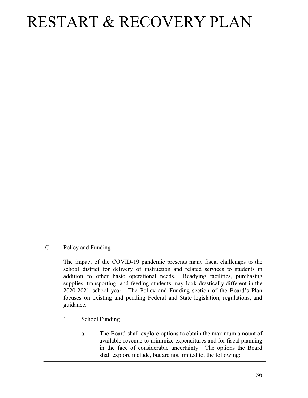C. Policy and Funding

The impact of the COVID-19 pandemic presents many fiscal challenges to the school district for delivery of instruction and related services to students in addition to other basic operational needs. Readying facilities, purchasing supplies, transporting, and feeding students may look drastically different in the 2020-2021 school year. The Policy and Funding section of the Board's Plan focuses on existing and pending Federal and State legislation, regulations, and guidance.

- 1. School Funding
	- a. The Board shall explore options to obtain the maximum amount of available revenue to minimize expenditures and for fiscal planning in the face of considerable uncertainty. The options the Board shall explore include, but are not limited to, the following: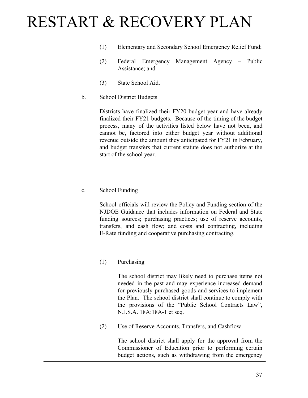- (1) Elementary and Secondary School Emergency Relief Fund;
- (2) Federal Emergency Management Agency Public Assistance; and
- (3) State School Aid.
- b. School District Budgets

Districts have finalized their FY20 budget year and have already finalized their FY21 budgets. Because of the timing of the budget process, many of the activities listed below have not been, and cannot be, factored into either budget year without additional revenue outside the amount they anticipated for FY21 in February, and budget transfers that current statute does not authorize at the start of the school year.

c. School Funding

School officials will review the Policy and Funding section of the NJDOE Guidance that includes information on Federal and State funding sources; purchasing practices; use of reserve accounts, transfers, and cash flow; and costs and contracting, including E-Rate funding and cooperative purchasing contracting.

(1) Purchasing

The school district may likely need to purchase items not needed in the past and may experience increased demand for previously purchased goods and services to implement the Plan. The school district shall continue to comply with the provisions of the "Public School Contracts Law", N.J.S.A. 18A:18A-1 et seq.

(2) Use of Reserve Accounts, Transfers, and Cashflow

The school district shall apply for the approval from the Commissioner of Education prior to performing certain budget actions, such as withdrawing from the emergency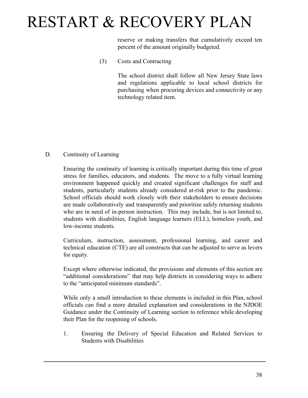reserve or making transfers that cumulatively exceed ten percent of the amount originally budgeted.

(3) Costs and Contracting

The school district shall follow all New Jersey State laws and regulations applicable to local school districts for purchasing when procuring devices and connectivity or any technology related item.

#### D. Continuity of Learning

Ensuring the continuity of learning is critically important during this time of great stress for families, educators, and students. The move to a fully virtual learning environment happened quickly and created significant challenges for staff and students, particularly students already considered at-risk prior to the pandemic. School officials should work closely with their stakeholders to ensure decisions are made collaboratively and transparently and prioritize safely returning students who are in need of in-person instruction. This may include, but is not limited to, students with disabilities, English language learners (ELL), homeless youth, and low-income students.

Curriculum, instruction, assessment, professional learning, and career and technical education (CTE) are all constructs that can be adjusted to serve as levers for equity.

Except where otherwise indicated, the provisions and elements of this section are "additional considerations" that may help districts in considering ways to adhere to the "anticipated minimum standards".

While only a small introduction to these elements is included in this Plan, school officials can find a more detailed explanation and considerations in the NJDOE Guidance under the Continuity of Learning section to reference while developing their Plan for the reopening of schools.

1. Ensuring the Delivery of Special Education and Related Services to Students with Disabilities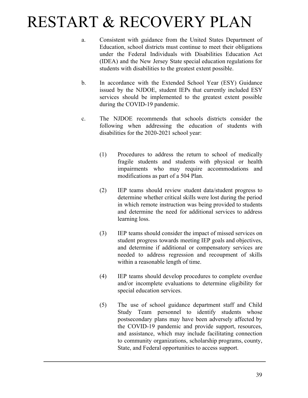- a. Consistent with guidance from the United States Department of Education, school districts must continue to meet their obligations under the Federal Individuals with Disabilities Education Act (IDEA) and the New Jersey State special education regulations for students with disabilities to the greatest extent possible.
- b. In accordance with the Extended School Year (ESY) Guidance issued by the NJDOE, student IEPs that currently included ESY services should be implemented to the greatest extent possible during the COVID-19 pandemic.
- c. The NJDOE recommends that schools districts consider the following when addressing the education of students with disabilities for the 2020-2021 school year:
	- (1) Procedures to address the return to school of medically fragile students and students with physical or health impairments who may require accommodations and modifications as part of a 504 Plan.
	- (2) IEP teams should review student data/student progress to determine whether critical skills were lost during the period in which remote instruction was being provided to students and determine the need for additional services to address learning loss.
	- (3) IEP teams should consider the impact of missed services on student progress towards meeting IEP goals and objectives, and determine if additional or compensatory services are needed to address regression and recoupment of skills within a reasonable length of time.
	- (4) IEP teams should develop procedures to complete overdue and/or incomplete evaluations to determine eligibility for special education services.
	- (5) The use of school guidance department staff and Child Study Team personnel to identify students whose postsecondary plans may have been adversely affected by the COVID-19 pandemic and provide support, resources, and assistance, which may include facilitating connection to community organizations, scholarship programs, county, State, and Federal opportunities to access support.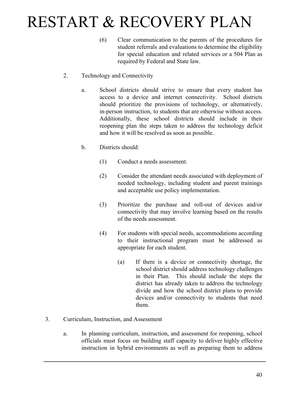- (6) Clear communication to the parents of the procedures for student referrals and evaluations to determine the eligibility for special education and related services or a 504 Plan as required by Federal and State law.
- 2. Technology and Connectivity
	- a. School districts should strive to ensure that every student has access to a device and internet connectivity. School districts should prioritize the provisions of technology, or alternatively, in-person instruction, to students that are otherwise without access. Additionally, these school districts should include in their reopening plan the steps taken to address the technology deficit and how it will be resolved as soon as possible.
	- b. Districts should:
		- (1) Conduct a needs assessment.
		- (2) Consider the attendant needs associated with deployment of needed technology, including student and parent trainings and acceptable use policy implementation.
		- (3) Prioritize the purchase and roll-out of devices and/or connectivity that may involve learning based on the results of the needs assessment.
		- (4) For students with special needs, accommodations according to their instructional program must be addressed as appropriate for each student.
			- (a) If there is a device or connectivity shortage, the school district should address technology challenges in their Plan. This should include the steps the district has already taken to address the technology divide and how the school district plans to provide devices and/or connectivity to students that need them.
- 3. Curriculum, Instruction, and Assessment
	- a. In planning curriculum, instruction, and assessment for reopening, school officials must focus on building staff capacity to deliver highly effective instruction in hybrid environments as well as preparing them to address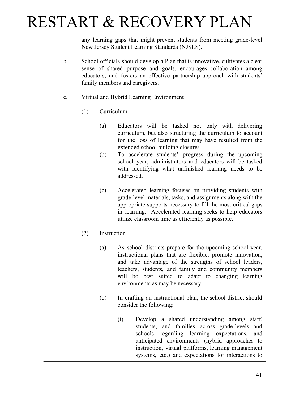any learning gaps that might prevent students from meeting grade-level New Jersey Student Learning Standards (NJSLS).

- b. School officials should develop a Plan that is innovative, cultivates a clear sense of shared purpose and goals, encourages collaboration among educators, and fosters an effective partnership approach with students' family members and caregivers.
- c. Virtual and Hybrid Learning Environment
	- (1) Curriculum
		- (a) Educators will be tasked not only with delivering curriculum, but also structuring the curriculum to account for the loss of learning that may have resulted from the extended school building closures.
		- (b) To accelerate students' progress during the upcoming school year, administrators and educators will be tasked with identifying what unfinished learning needs to be addressed.
		- (c) Accelerated learning focuses on providing students with grade-level materials, tasks, and assignments along with the appropriate supports necessary to fill the most critical gaps in learning. Accelerated learning seeks to help educators utilize classroom time as efficiently as possible.
	- (2) Instruction
		- (a) As school districts prepare for the upcoming school year, instructional plans that are flexible, promote innovation, and take advantage of the strengths of school leaders, teachers, students, and family and community members will be best suited to adapt to changing learning environments as may be necessary.
		- (b) In crafting an instructional plan, the school district should consider the following:
			- (i) Develop a shared understanding among staff, students, and families across grade-levels and schools regarding learning expectations, and anticipated environments (hybrid approaches to instruction, virtual platforms, learning management systems, etc.) and expectations for interactions to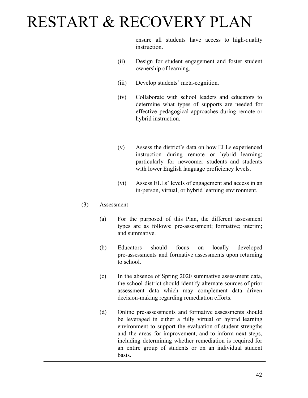ensure all students have access to high-quality instruction.

- (ii) Design for student engagement and foster student ownership of learning.
- (iii) Develop students' meta-cognition.
- (iv) Collaborate with school leaders and educators to determine what types of supports are needed for effective pedagogical approaches during remote or hybrid instruction.
- (v) Assess the district's data on how ELLs experienced instruction during remote or hybrid learning; particularly for newcomer students and students with lower English language proficiency levels.
- (vi) Assess ELLs' levels of engagement and access in an in-person, virtual, or hybrid learning environment.
- (3) Assessment
	- (a) For the purposed of this Plan, the different assessment types are as follows: pre-assessment; formative; interim; and summative.
	- (b) Educators should focus on locally developed pre-assessments and formative assessments upon returning to school.
	- (c) In the absence of Spring 2020 summative assessment data, the school district should identify alternate sources of prior assessment data which may complement data driven decision-making regarding remediation efforts.
	- (d) Online pre-assessments and formative assessments should be leveraged in either a fully virtual or hybrid learning environment to support the evaluation of student strengths and the areas for improvement, and to inform next steps, including determining whether remediation is required for an entire group of students or on an individual student basis.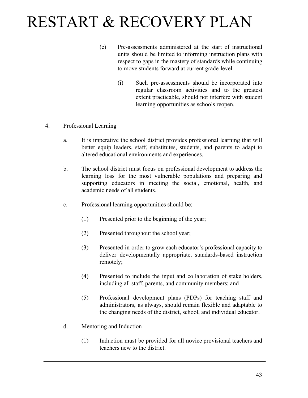- (e) Pre-assessments administered at the start of instructional units should be limited to informing instruction plans with respect to gaps in the mastery of standards while continuing to move students forward at current grade-level.
	- (i) Such pre-assessments should be incorporated into regular classroom activities and to the greatest extent practicable, should not interfere with student learning opportunities as schools reopen.
- 4. Professional Learning
	- a. It is imperative the school district provides professional learning that will better equip leaders, staff, substitutes, students, and parents to adapt to altered educational environments and experiences.
	- b. The school district must focus on professional development to address the learning loss for the most vulnerable populations and preparing and supporting educators in meeting the social, emotional, health, and academic needs of all students.
	- c. Professional learning opportunities should be:
		- (1) Presented prior to the beginning of the year;
		- (2) Presented throughout the school year;
		- (3) Presented in order to grow each educator's professional capacity to deliver developmentally appropriate, standards-based instruction remotely;
		- (4) Presented to include the input and collaboration of stake holders, including all staff, parents, and community members; and
		- (5) Professional development plans (PDPs) for teaching staff and administrators, as always, should remain flexible and adaptable to the changing needs of the district, school, and individual educator.
	- d. Mentoring and Induction
		- (1) Induction must be provided for all novice provisional teachers and teachers new to the district.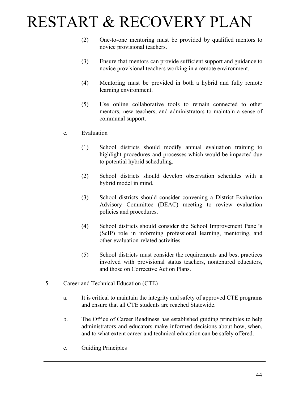- (2) One-to-one mentoring must be provided by qualified mentors to novice provisional teachers.
- (3) Ensure that mentors can provide sufficient support and guidance to novice provisional teachers working in a remote environment.
- (4) Mentoring must be provided in both a hybrid and fully remote learning environment.
- (5) Use online collaborative tools to remain connected to other mentors, new teachers, and administrators to maintain a sense of communal support.
- e. Evaluation
	- (1) School districts should modify annual evaluation training to highlight procedures and processes which would be impacted due to potential hybrid scheduling.
	- (2) School districts should develop observation schedules with a hybrid model in mind.
	- (3) School districts should consider convening a District Evaluation Advisory Committee (DEAC) meeting to review evaluation policies and procedures.
	- (4) School districts should consider the School Improvement Panel's (ScIP) role in informing professional learning, mentoring, and other evaluation-related activities.
	- (5) School districts must consider the requirements and best practices involved with provisional status teachers, nontenured educators, and those on Corrective Action Plans.
- 5. Career and Technical Education (CTE)
	- a. It is critical to maintain the integrity and safety of approved CTE programs and ensure that all CTE students are reached Statewide.
	- b. The Office of Career Readiness has established guiding principles to help administrators and educators make informed decisions about how, when, and to what extent career and technical education can be safely offered.
	- c. Guiding Principles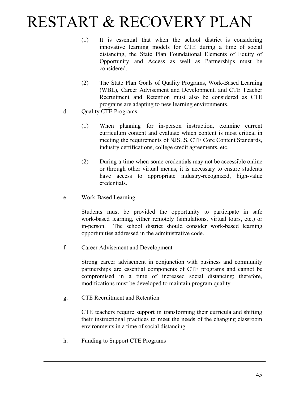- (1) It is essential that when the school district is considering innovative learning models for CTE during a time of social distancing, the State Plan Foundational Elements of Equity of Opportunity and Access as well as Partnerships must be considered.
- (2) The State Plan Goals of Quality Programs, Work-Based Learning (WBL), Career Advisement and Development, and CTE Teacher Recruitment and Retention must also be considered as CTE programs are adapting to new learning environments.
- d. Quality CTE Programs
	- (1) When planning for in-person instruction, examine current curriculum content and evaluate which content is most critical in meeting the requirements of NJSLS, CTE Core Content Standards, industry certifications, college credit agreements, etc.
	- (2) During a time when some credentials may not be accessible online or through other virtual means, it is necessary to ensure students have access to appropriate industry-recognized, high-value credentials.
- e. Work-Based Learning

Students must be provided the opportunity to participate in safe work-based learning, either remotely (simulations, virtual tours, etc.) or in-person. The school district should consider work-based learning opportunities addressed in the administrative code.

f. Career Advisement and Development

Strong career advisement in conjunction with business and community partnerships are essential components of CTE programs and cannot be compromised in a time of increased social distancing; therefore, modifications must be developed to maintain program quality.

g. CTE Recruitment and Retention

CTE teachers require support in transforming their curricula and shifting their instructional practices to meet the needs of the changing classroom environments in a time of social distancing.

h. Funding to Support CTE Programs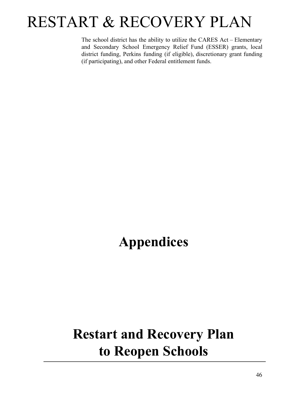The school district has the ability to utilize the CARES Act – Elementary and Secondary School Emergency Relief Fund (ESSER) grants, local district funding, Perkins funding (if eligible), discretionary grant funding (if participating), and other Federal entitlement funds.

### **Appendices**

### **Restart and Recovery Plan to Reopen Schools**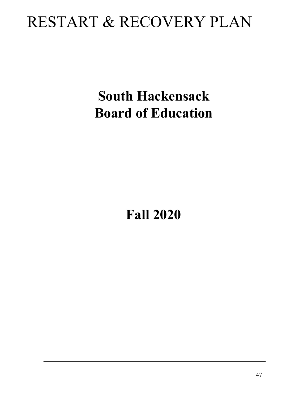### **South Hackensack Board of Education**

**Fall 2020**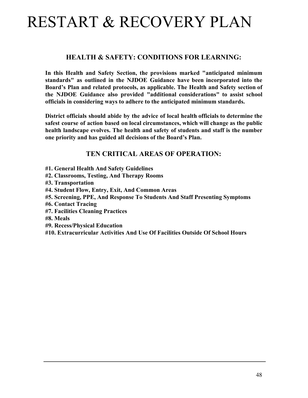#### **HEALTH & SAFETY: CONDITIONS FOR LEARNING:**

**In this Health and Safety Section, the provisions marked "anticipated minimum standards" as outlined in the NJDOE Guidance have been incorporated into the Board's Plan and related protocols, as applicable. The Health and Safety section of the NJDOE Guidance also provided "additional considerations" to assist school officials in considering ways to adhere to the anticipated minimum standards.**

**District officials should abide by the advice of local health officials to determine the safest course of action based on local circumstances, which will change as the public health landscape evolves. The health and safety of students and staff is the number one priority and has guided all decisions of the Board's Plan.**

#### **TEN CRITICAL AREAS OF OPERATION:**

- **#1. General Health And Safety Guidelines**
- **#2. Classrooms, Testing, And Therapy Rooms**
- **#3. Transportation**
- **#4. Student Flow, Entry, Exit, And Common Areas**
- **#5. Screening, PPE, And Response To Students And Staff Presenting Symptoms**
- **#6. Contact Tracing**
- **#7. Facilities Cleaning Practices**
- **#8. Meals**
- **#9. Recess/Physical Education**
- **#10. Extracurricular Activities And Use Of Facilities Outside Of School Hours**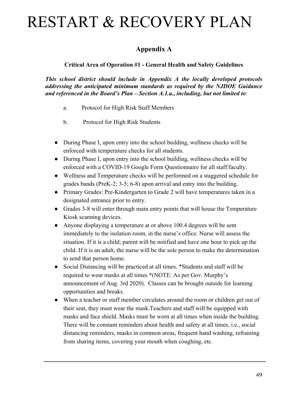### **Appendix A**

**Critical Area of Operation #1 - General Health and Safety Guidelines**

*This school district should include in Appendix A the locally developed protocols addressing the anticipated minimum standards as required by the NJDOE Guidance and referenced in the Board's Plan – Section A.1.a., including, but not limited to*:

- a. Protocol for High Risk Staff Members
- b. Protocol for High Risk Students
- During Phase I, upon entry into the school building, wellness checks will be enforced with temperature checks for all students.
- During Phase I, upon entry into the school building, wellness checks will be enforced with a COVID-19 Google Form Questionnaire for all staff/faculty.
- Wellness and Temperature checks will be performed on a staggered schedule for grades bands (PreK-2; 3-5; 6-8) upon arrival and entry into the building.
- Primary Grades: Pre-Kindergarten to Grade 2 will have temperatures taken in a designated entrance prior to entry.
- Grades 3-8 will enter through main entry points that will house the Temperature Kiosk scanning devices.
- Anyone displaying a temperature at or above 100.4 degrees will be sent immediately to the isolation room, in the nurse's office. Nurse will assess the situation. If it is a child; parent will be notified and have one hour to pick up the child. If it is an adult, the nurse will be the sole person to make the determination to send that person home.
- Social Distancing will be practiced at all times. \*Students and staff will be required to wear masks at all times \*(NOTE: As per Gov. Murphy's announcement of Aug. 3rd 2020). Classes can be brought outside for learning opportunities and breaks.
- When a teacher or staff member circulates around the room or children get out of their seat, they must wear the mask.Teachers and staff will be equipped with masks and face shield. Masks must be worn at all times when inside the building. There will be constant reminders about health and safety at all times, i.e., social distancing reminders, masks in common areas, frequent hand washing, refraining from sharing items, covering your mouth when coughing, etc.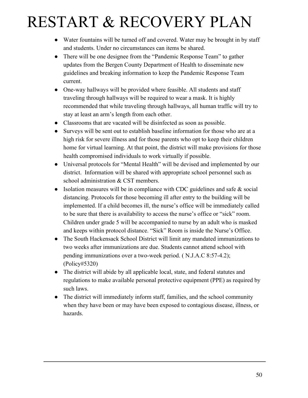- Water fountains will be turned off and covered. Water may be brought in by staff and students. Under no circumstances can items be shared.
- There will be one designee from the "Pandemic Response Team" to gather updates from the Bergen County Department of Health to disseminate new guidelines and breaking information to keep the Pandemic Response Team current.
- One-way hallways will be provided where feasible. All students and staff traveling through hallways will be required to wear a mask. It is highly recommended that while traveling through hallways, all human traffic will try to stay at least an arm's length from each other.
- Classrooms that are vacated will be disinfected as soon as possible.
- Surveys will be sent out to establish baseline information for those who are at a high risk for severe illness and for those parents who opt to keep their children home for virtual learning. At that point, the district will make provisions for those health compromised individuals to work virtually if possible.
- Universal protocols for "Mental Health" will be devised and implemented by our district. Information will be shared with appropriate school personnel such as school administration & CST members.
- Isolation measures will be in compliance with CDC guidelines and safe  $\&$  social distancing. Protocols for those becoming ill after entry to the building will be implemented. If a child becomes ill, the nurse's office will be immediately called to be sure that there is availability to access the nurse's office or "sick" room. Children under grade 5 will be accompanied to nurse by an adult who is masked and keeps within protocol distance. "Sick" Room is inside the Nurse's Office.
- The South Hackensack School District will limit any mandated immunizations to two weeks after immunizations are due. Students cannot attend school with pending immunizations over a two-week period. ( N.J.A.C 8:57-4.2); (Policy#5320)
- The district will abide by all applicable local, state, and federal statutes and regulations to make available personal protective equipment (PPE) as required by such laws.
- The district will immediately inform staff, families, and the school community when they have been or may have been exposed to contagious disease, illness, or hazards.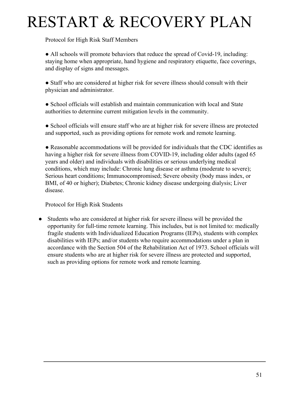Protocol for High Risk Staff Members

● All schools will promote behaviors that reduce the spread of Covid-19, including: staying home when appropriate, hand hygiene and respiratory etiquette, face coverings, and display of signs and messages.

● Staff who are considered at higher risk for severe illness should consult with their physician and administrator.

● School officials will establish and maintain communication with local and State authorities to determine current mitigation levels in the community.

● School officials will ensure staff who are at higher risk for severe illness are protected and supported, such as providing options for remote work and remote learning.

● Reasonable accommodations will be provided for individuals that the CDC identifies as having a higher risk for severe illness from COVID-19, including older adults (aged 65 years and older) and individuals with disabilities or serious underlying medical conditions, which may include: Chronic lung disease or asthma (moderate to severe); Serious heart conditions; Immunocompromised; Severe obesity (body mass index, or BMI, of 40 or higher); Diabetes; Chronic kidney disease undergoing dialysis; Liver disease.

Protocol for High Risk Students

● Students who are considered at higher risk for severe illness will be provided the opportunity for full-time remote learning. This includes, but is not limited to: medically fragile students with Individualized Education Programs (IEPs), students with complex disabilities with IEPs; and/or students who require accommodations under a plan in accordance with the Section 504 of the Rehabilitation Act of 1973. School officials will ensure students who are at higher risk for severe illness are protected and supported, such as providing options for remote work and remote learning.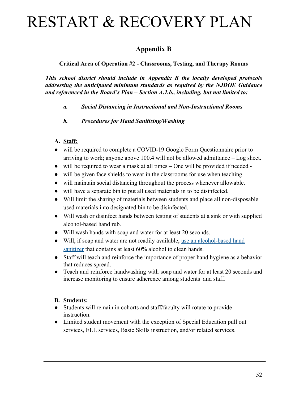### **Appendix B**

#### **Critical Area of Operation #2 - Classrooms, Testing, and Therapy Rooms**

*This school district should include in Appendix B the locally developed protocols addressing the anticipated minimum standards as required by the NJDOE Guidance and referenced in the Board's Plan – Section A.1.b., including, but not limited to:*

- *a. Social Distancing in Instructional and Non-Instructional Rooms*
- *b. Procedures for Hand Sanitizing/Washing*

#### **A. Staff:**

- will be required to complete a COVID-19 Google Form Questionnaire prior to arriving to work; anyone above 100.4 will not be allowed admittance – Log sheet.
- will be required to wear a mask at all times One will be provided if needed -
- will be given face shields to wear in the classrooms for use when teaching.
- will maintain social distancing throughout the process whenever allowable.
- will have a separate bin to put all used materials in to be disinfected.
- Will limit the sharing of materials between students and place all non-disposable used materials into designated bin to be disinfected.
- Will wash or disinfect hands between testing of students at a sink or with supplied alcohol-based hand rub.
- Will wash hands with soap and water for at least 20 seconds.
- Will, if soap and water are not readily available, [use an alcohol-based hand](https://nam10.safelinks.protection.outlook.com/?url=https%3A%2F%2Fwww.cdc.gov%2Fhandwashing%2Fhand-sanitizer-use.html&data=02%7C01%7Cjgeppert%40sh-law.com%7Cdf3ae146693a4c898c2d08d8184f0339%7C49420ac02c804caa862029a62c5736c5%7C1%7C0%7C637286075051901021&sdata=VoHJ%2B%2BuNaLeai5ue8G51P630KfqmvhpBP%2Fm8%2FfeeZJA%3D&reserved=0) [sanitizer](https://nam10.safelinks.protection.outlook.com/?url=https%3A%2F%2Fwww.cdc.gov%2Fhandwashing%2Fhand-sanitizer-use.html&data=02%7C01%7Cjgeppert%40sh-law.com%7Cdf3ae146693a4c898c2d08d8184f0339%7C49420ac02c804caa862029a62c5736c5%7C1%7C0%7C637286075051901021&sdata=VoHJ%2B%2BuNaLeai5ue8G51P630KfqmvhpBP%2Fm8%2FfeeZJA%3D&reserved=0) that contains at least 60% alcohol to clean hands.
- Staff will teach and reinforce the importance of proper hand hygiene as a behavior that reduces spread.
- Teach and reinforce handwashing with soap and water for at least 20 seconds and increase monitoring to ensure adherence among students and staff.

#### **B. Students:**

- Students will remain in cohorts and staff/faculty will rotate to provide instruction.
- Limited student movement with the exception of Special Education pull out services, ELL services, Basic Skills instruction, and/or related services.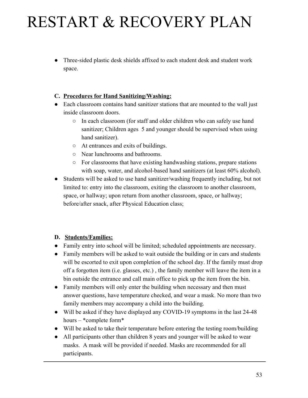• Three-sided plastic desk shields affixed to each student desk and student work space.

#### **C. Procedures for Hand Sanitizing/Washing:**

- Each classroom contains hand sanitizer stations that are mounted to the wall just inside classroom doors.
	- In each classroom (for staff and older children who can safely use hand sanitizer; Children ages 5 and younger should be supervised when using hand sanitizer).
	- At entrances and exits of buildings.
	- Near lunchrooms and bathrooms.
	- For classrooms that have existing handwashing stations, prepare stations with soap, water, and alcohol-based hand sanitizers (at least  $60\%$  alcohol).
- Students will be asked to use hand sanitizer/washing frequently including, but not limited to: entry into the classroom, exiting the classroom to another classroom, space, or hallway; upon return from another classroom, space, or hallway; before/after snack, after Physical Education class;

#### **D. Students/Families:**

- Family entry into school will be limited; scheduled appointments are necessary.
- Family members will be asked to wait outside the building or in cars and students will be escorted to exit upon completion of the school day. If the family must drop off a forgotten item (i.e. glasses, etc.) , the family member will leave the item in a bin outside the entrance and call main office to pick up the item from the bin.
- Family members will only enter the building when necessary and then must answer questions, have temperature checked, and wear a mask. No more than two family members may accompany a child into the building.
- Will be asked if they have displayed any COVID-19 symptoms in the last 24-48 hours – \*complete form\*
- Will be asked to take their temperature before entering the testing room/building
- All participants other than children 8 years and younger will be asked to wear masks. A mask will be provided if needed. Masks are recommended for all participants.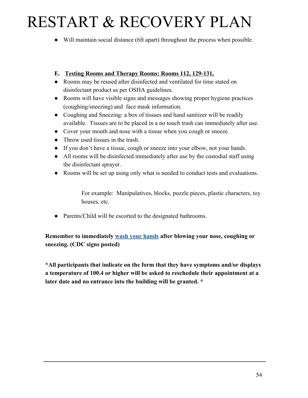- Will maintain social distance (6ft apart) throughout the process when possible.
- **E. Testing Rooms and Therapy Rooms: Rooms 112, 129-131,**
- Rooms may be reused after disinfected and ventilated for time stated on disinfectant product as per OSHA guidelines.
- Rooms will have visible signs and messages showing proper hygiene practices (coughing/sneezing) and face mask information.
- Coughing and Sneezing: a box of tissues and hand sanitizer will be readily available. Tissues are to be placed in a no touch trash can immediately after use.
- Cover your mouth and nose with a tissue when you cough or sneeze.
- Throw used tissues in the trash.
- If you don't have a tissue, cough or sneeze into your elbow, not your hands.
- All rooms will be disinfected immediately after use by the custodial staff using the disinfectant sprayer.
- Rooms will be set up using only what is needed to conduct tests and evaluations.

For example: Manipulatives, blocks, puzzle pieces, plastic characters, toy houses, etc.

• Parents/Child will be escorted to the designated bathrooms.

**Remember to immediately [wash your hands](https://nam10.safelinks.protection.outlook.com/?url=https%3A%2F%2Fwww.cdc.gov%2Fhandwashing%2Fwhen-how-handwashing.html&data=02%7C01%7Cjgeppert%40sh-law.com%7Cdf3ae146693a4c898c2d08d8184f0339%7C49420ac02c804caa862029a62c5736c5%7C1%7C0%7C637286075051901021&sdata=YJdU%2BjT3uHkT3EkXuv0YYrdyjRD4K37sYBdlBYy%2FCXE%3D&reserved=0) after blowing your nose, coughing or sneezing. (CDC signs posted)**

**\*All participants that indicate on the form that they have symptoms and/or displays a temperature of 100.4 or higher will be asked to reschedule their appointment at a later date and no entrance into the building will be granted. \***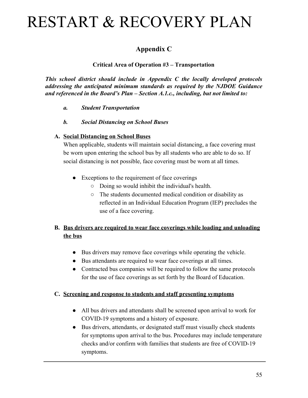### **Appendix C**

#### **Critical Area of Operation #3 – Transportation**

*This school district should include in Appendix C the locally developed protocols addressing the anticipated minimum standards as required by the NJDOE Guidance and referenced in the Board's Plan – Section A.1.c., including, but not limited to:*

*a. Student Transportation*

#### *b. Social Distancing on School Buses*

#### **A. Social Distancing on School Buses**

When applicable, students will maintain social distancing, a face covering must be worn upon entering the school bus by all students who are able to do so. If social distancing is not possible, face covering must be worn at all times.

- Exceptions to the requirement of face coverings
	- Doing so would inhibit the individual's health.
	- The students documented medical condition or disability as reflected in an Individual Education Program (IEP) precludes the use of a face covering.

#### **B. Bus drivers are required to wear face coverings while loading and unloading the bus**

- Bus drivers may remove face coverings while operating the vehicle.
- Bus attendants are required to wear face coverings at all times.
- Contracted bus companies will be required to follow the same protocols for the use of face coverings as set forth by the Board of Education.

#### **C. Screening and response to students and staff presenting symptoms**

- All bus drivers and attendants shall be screened upon arrival to work for COVID-19 symptoms and a history of exposure.
- Bus drivers, attendants, or designated staff must visually check students for symptoms upon arrival to the bus. Procedures may include temperature checks and/or confirm with families that students are free of COVID-19 symptoms.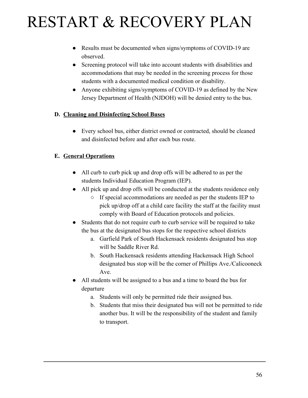- Results must be documented when signs/symptoms of COVID-19 are observed.
- Screening protocol will take into account students with disabilities and accommodations that may be needed in the screening process for those students with a documented medical condition or disability.
- Anyone exhibiting signs/symptoms of COVID-19 as defined by the New Jersey Department of Health (NJDOH) will be denied entry to the bus.

#### **D. Cleaning and Disinfecting School Buses**

• Every school bus, either district owned or contracted, should be cleaned and disinfected before and after each bus route.

#### **E. General Operations**

- All curb to curb pick up and drop offs will be adhered to as per the students Individual Education Program (IEP).
- All pick up and drop offs will be conducted at the students residence only
	- If special accommodations are needed as per the students IEP to pick up/drop off at a child care facility the staff at the facility must comply with Board of Education protocols and policies.
- Students that do not require curb to curb service will be required to take the bus at the designated bus stops for the respective school districts
	- a. Garfield Park of South Hackensack residents designated bus stop will be Saddle River Rd.
	- b. South Hackensack residents attending Hackensack High School designated bus stop will be the corner of Phillips Ave./Calicooneck Ave.
- All students will be assigned to a bus and a time to board the bus for departure
	- a. Students will only be permitted ride their assigned bus.
	- b. Students that miss their designated bus will not be permitted to ride another bus. It will be the responsibility of the student and family to transport.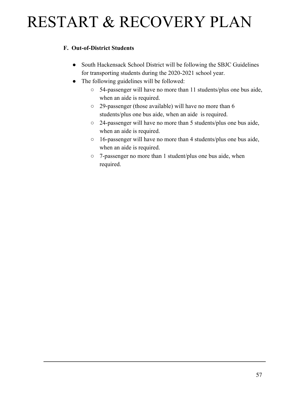#### **F. Out-of-District Students**

- South Hackensack School District will be following the SBJC Guidelines for transporting students during the 2020-2021 school year.
- The following guidelines will be followed:
	- 54-passenger will have no more than 11 students/plus one bus aide, when an aide is required.
	- 29-passenger (those available) will have no more than 6 students/plus one bus aide, when an aide is required.
	- 24-passenger will have no more than 5 students/plus one bus aide, when an aide is required.
	- 16-passenger will have no more than 4 students/plus one bus aide, when an aide is required.
	- 7-passenger no more than 1 student/plus one bus aide, when required.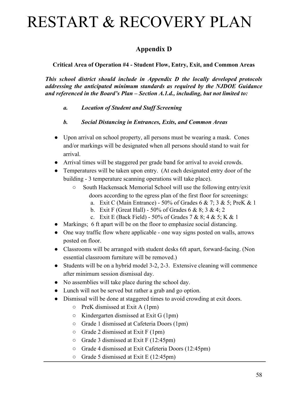### **Appendix D**

#### **Critical Area of Operation #4 - Student Flow, Entry, Exit, and Common Areas**

*This school district should include in Appendix D the locally developed protocols addressing the anticipated minimum standards as required by the NJDOE Guidance and referenced in the Board's Plan – Section A.1.d., including, but not limited to:*

- *a. Location of Student and Staff Screening*
- *b. Social Distancing in Entrances, Exits, and Common Areas*
- Upon arrival on school property, all persons must be wearing a mask. Cones and/or markings will be designated when all persons should stand to wait for arrival.
- Arrival times will be staggered per grade band for arrival to avoid crowds.
- Temperatures will be taken upon entry. (At each designated entry door of the building - 3 temperature scanning operations will take place).
	- South Hackensack Memorial School will use the following entry/exit doors according to the egress plan of the first floor for screenings:
		- a. Exit C (Main Entrance) 50% of Grades 6 & 7; 3 & 5; PreK & 1
		- b. Exit F (Great Hall) 50% of Grades 6 & 8; 3 & 4; 2
		- c. Exit E (Back Field) 50% of Grades  $7 & 8$ ;  $4 & 5$ ; K  $& 1$
- Markings; 6 ft apart will be on the floor to emphasize social distancing.
- One way traffic flow where applicable one way signs posted on walls, arrows posted on floor.
- Classrooms will be arranged with student desks 6ft apart, forward-facing. (Non essential classroom furniture will be removed.)
- Students will be on a hybrid model 3-2, 2-3. Extensive cleaning will commence after minimum session dismissal day.
- No assemblies will take place during the school day.
- Lunch will not be served but rather a grab and go option.
- Dismissal will be done at staggered times to avoid crowding at exit doors.
	- $\circ$  PreK dismissed at Exit A (1pm)
	- $\circ$  Kindergarten dismissed at Exit G (1pm)
	- Grade 1 dismissed at Cafeteria Doors (1pm)
	- $\circ$  Grade 2 dismissed at Exit F (1pm)
	- Grade 3 dismissed at Exit F (12:45pm)
	- Grade 4 dismissed at Exit Cafeteria Doors (12:45pm)
	- Grade 5 dismissed at Exit E (12:45pm)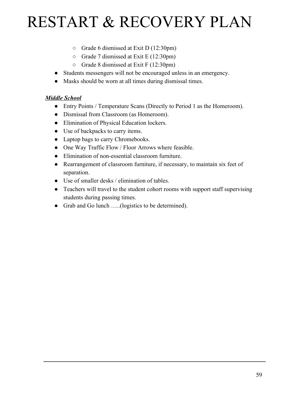- Grade 6 dismissed at Exit D (12:30pm)
- Grade 7 dismissed at Exit E (12:30pm)
- Grade 8 dismissed at Exit F (12:30pm)
- Students messengers will not be encouraged unless in an emergency.
- Masks should be worn at all times during dismissal times.

#### *Middle School*

- Entry Points / Temperature Scans (Directly to Period 1 as the Homeroom).
- Dismissal from Classroom (as Homeroom).
- Elimination of Physical Education lockers.
- Use of backpacks to carry items.
- Laptop bags to carry Chromebooks.
- One Way Traffic Flow / Floor Arrows where feasible.
- Elimination of non-essential classroom furniture.
- Rearrangement of classroom furniture, if necessary, to maintain six feet of separation.
- Use of smaller desks / elimination of tables.
- Teachers will travel to the student cohort rooms with support staff supervising students during passing times.
- Grab and Go lunch …..(logistics to be determined).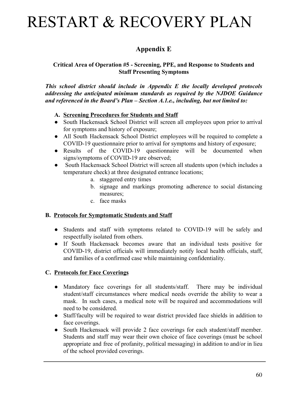### **Appendix E**

#### **Critical Area of Operation #5 - Screening, PPE, and Response to Students and Staff Presenting Symptoms**

*This school district should include in Appendix E the locally developed protocols addressing the anticipated minimum standards as required by the NJDOE Guidance and referenced in the Board's Plan – Section A.1.e., including, but not limited to:*

#### **A. Screening Procedures for Students and Staff**

- South Hackensack School District will screen all employees upon prior to arrival for symptoms and history of exposure;
- All South Hackensack School District employees will be required to complete a COVID-19 questionnaire prior to arrival for symptoms and history of exposure;
- Results of the COVID-19 questionnaire will be documented when signs/symptoms of COVID-19 are observed;
- South Hackensack School District will screen all students upon (which includes a temperature check) at three designated entrance locations;
	- a. staggered entry times
	- b. signage and markings promoting adherence to social distancing measures;
	- c. face masks

#### **B. Protocols for Symptomatic Students and Staff**

- Students and staff with symptoms related to COVID-19 will be safely and respectfully isolated from others.
- If South Hackensack becomes aware that an individual tests positive for COVID-19, district officials will immediately notify local health officials, staff, and families of a confirmed case while maintaining confidentiality.

#### **C. Protocols for Face Coverings**

- Mandatory face coverings for all students/staff. There may be individual student/staff circumstances where medical needs override the ability to wear a mask. In such cases, a medical note will be required and accommodations will need to be considered.
- Staff/faculty will be required to wear district provided face shields in addition to face coverings.
- South Hackensack will provide 2 face coverings for each student/staff member. Students and staff may wear their own choice of face coverings (must be school appropriate and free of profanity, political messaging) in addition to and/or in lieu of the school provided coverings.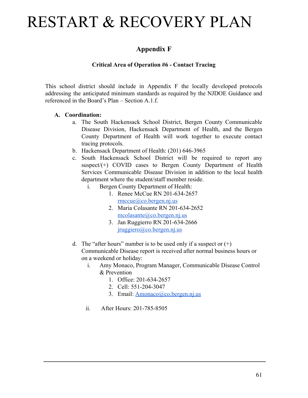### **Appendix F**

#### **Critical Area of Operation #6 - Contact Tracing**

This school district should include in Appendix F the locally developed protocols addressing the anticipated minimum standards as required by the NJDOE Guidance and referenced in the Board's Plan – Section A.1.f.

#### **A. Coordination:**

- a. The South Hackensack School District, Bergen County Communicable Disease Division, Hackensack Department of Health, and the Bergen County Department of Health will work together to execute contact tracing protocols.
- b. Hackensack Department of Health: (201) 646-3965
- c. South Hackensack School District will be required to report any suspect/ $(+)$  COVID cases to Bergen County Department of Health Services Communicable Disease Division in addition to the local health department where the student/staff member reside.
	- i. Bergen County Department of Health:
		- 1. Renee McCue RN 201-634-2657 [rmccue@co.bergen.nj.us](mailto:rmccue@co.bergen.nj.us)
		- 2. Maria Colasante RN 201-634-2652 [mcolasante@co.bergen.nj.us](mailto:mcolasante@co.bergen.nj.us)
		- 3. Jan Ruggierro RN 201-634-2666 [jruggiero@co.bergen.nj.us](mailto:jruggiero@co.bergen.nj.us)
- d. The "after hours" number is to be used only if a suspect or  $(+)$ Communicable Disease report is received after normal business hours or on a weekend or holiday:
	- i. Amy Monaco, Program Manager, Communicable Disease Control & Prevention
		- 1. Office: 201-634-2657
		- 2. Cell: 551-204-3047
		- 3. Email: [Amonaco@co.bergen.nj.us](mailto:Amonaco@co.bergen.nj.us)
	- ii. After Hours: 201-785-8505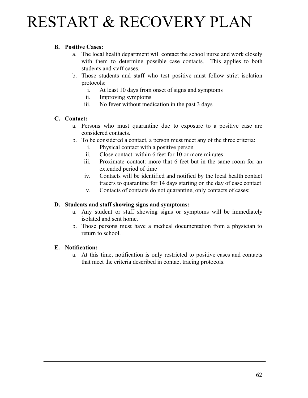#### **B. Positive Cases:**

- a. The local health department will contact the school nurse and work closely with them to determine possible case contacts. This applies to both students and staff cases.
- b. Those students and staff who test positive must follow strict isolation protocols:
	- i. At least 10 days from onset of signs and symptoms
	- ii. Improving symptoms
	- iii. No fever without medication in the past 3 days

#### **C. Contact:**

- a. Persons who must quarantine due to exposure to a positive case are considered contacts.
- b. To be considered a contact, a person must meet any of the three criteria:
	- i. Physical contact with a positive person
	- ii. Close contact: within 6 feet for 10 or more minutes
	- iii. Proximate contact: more that 6 feet but in the same room for an extended period of time
	- iv. Contacts will be identified and notified by the local health contact tracers to quarantine for 14 days starting on the day of case contact
	- v. Contacts of contacts do not quarantine, only contacts of cases;

#### **D. Students and staff showing signs and symptoms:**

- a. Any student or staff showing signs or symptoms will be immediately isolated and sent home.
- b. Those persons must have a medical documentation from a physician to return to school.

#### **E. Notification:**

a. At this time, notification is only restricted to positive cases and contacts that meet the criteria described in contact tracing protocols.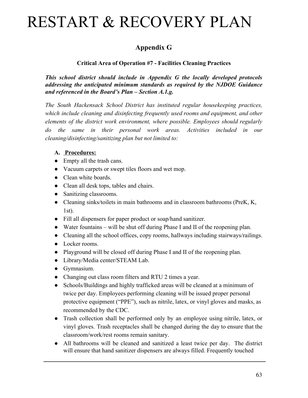### **Appendix G**

#### **Critical Area of Operation #7 - Facilities Cleaning Practices**

*This school district should include in Appendix G the locally developed protocols addressing the anticipated minimum standards as required by the NJDOE Guidance and referenced in the Board's Plan – Section A.1.g.*

*The South Hackensack School District has instituted regular housekeeping practices, which include cleaning and disinfecting frequently used rooms and equipment, and other elements of the district work environment, where possible. Employees should regularly do the same in their personal work areas. Activities included in our cleaning/disinfecting/sanitizing plan but not limited to:*

#### **A. Procedures:**

- Empty all the trash cans.
- Vacuum carpets or swept tiles floors and wet mop.
- Clean white boards.
- Clean all desk tops, tables and chairs.
- Sanitizing classrooms.
- Cleaning sinks/toilets in main bathrooms and in classroom bathrooms (PreK, K, 1st).
- Fill all dispensers for paper product or soap/hand sanitizer.
- Water fountains will be shut off during Phase I and II of the reopening plan.
- Cleaning all the school offices, copy rooms, hallways including stairways/railings.
- Locker rooms.
- Playground will be closed off during Phase I and II of the reopening plan.
- Library/Media center/STEAM Lab.
- Gymnasium.
- Changing out class room filters and RTU 2 times a year.
- Schools/Buildings and highly trafficked areas will be cleaned at a minimum of twice per day. Employees performing cleaning will be issued proper personal protective equipment ("PPE"), such as nitrile, latex, or vinyl gloves and masks, as recommended by the CDC.
- Trash collection shall be performed only by an employee using nitrile, latex, or vinyl gloves. Trash receptacles shall be changed during the day to ensure that the classroom/work/rest rooms remain sanitary.
- All bathrooms will be cleaned and sanitized a least twice per day. The district will ensure that hand sanitizer dispensers are always filled. Frequently touched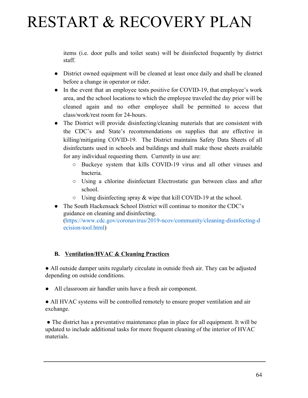items (i.e. door pulls and toilet seats) will be disinfected frequently by district staff.

- District owned equipment will be cleaned at least once daily and shall be cleaned before a change in operator or rider.
- In the event that an employee tests positive for COVID-19, that employee's work area, and the school locations to which the employee traveled the day prior will be cleaned again and no other employee shall be permitted to access that class/work/rest room for 24-hours.
- The District will provide disinfecting/cleaning materials that are consistent with the CDC's and State's recommendations on supplies that are effective in killing/mitigating COVID-19. The District maintains Safety Data Sheets of all disinfectants used in schools and buildings and shall make those sheets available for any individual requesting them. Currently in use are:
	- Buckeye system that kills COVID-19 virus and all other viruses and bacteria.
	- Using a chlorine disinfectant Electrostatic gun between class and after school.
	- $\circ$  Using disinfecting spray & wipe that kill COVID-19 at the school.
- The South Hackensack School District will continue to monitor the CDC's guidance on cleaning and disinfecting. ([https://www.cdc.gov/coronavirus/2019-ncov/community/cleaning-disinfecting-d](https://www.cdc.gov/coronavirus/2019-ncov/community/cleaning-disinfecting-decision-tool.html) [ecision-tool.html\)](https://www.cdc.gov/coronavirus/2019-ncov/community/cleaning-disinfecting-decision-tool.html)

#### **B. Ventilation/HVAC & Cleaning Practices**

● All outside damper units regularly circulate in outside fresh air. They can be adjusted depending on outside conditions.

● All classroom air handler units have a fresh air component.

● All HVAC systems will be controlled remotely to ensure proper ventilation and air exchange.

 ● The district has a preventative maintenance plan in place for all equipment. It will be updated to include additional tasks for more frequent cleaning of the interior of HVAC materials.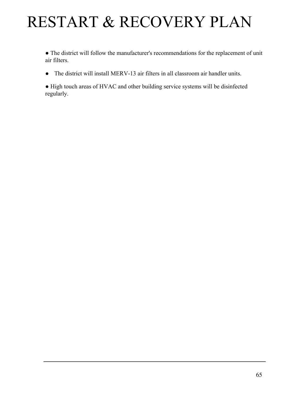● The district will follow the manufacturer's recommendations for the replacement of unit air filters.

● The district will install MERV-13 air filters in all classroom air handler units.

● High touch areas of HVAC and other building service systems will be disinfected regularly.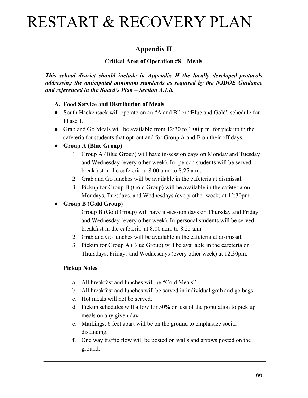### **Appendix H**

#### **Critical Area of Operation #8 – Meals**

*This school district should include in Appendix H the locally developed protocols addressing the anticipated minimum standards as required by the NJDOE Guidance and referenced in the Board's Plan – Section A.1.h.*

#### **A. Food Service and Distribution of Meals**

- South Hackensack will operate on an "A and B" or "Blue and Gold" schedule for Phase 1.
- Grab and Go Meals will be available from 12:30 to 1:00 p.m. for pick up in the cafeteria for students that opt-out and for Group A and B on their off days.

#### **● Group A (Blue Group)**

- 1. Group A (Blue Group) will have in-session days on Monday and Tuesday and Wednesday (every other week). In- person students will be served breakfast in the cafeteria at 8:00 a.m. to 8:25 a.m.
- 2. Grab and Go lunches will be available in the cafeteria at dismissal.
- 3. Pickup for Group B (Gold Group) will be available in the cafeteria on Mondays, Tuesdays, and Wednesdays (every other week) at 12:30pm.

### **● Group B (Gold Group)**

- 1. Group B (Gold Group) will have in-session days on Thursday and Friday and Wednesday (every other week). In-personal students will be served breakfast in the cafeteria at 8:00 a.m. to 8:25 a.m.
- 2. Grab and Go lunches will be available in the cafeteria at dismissal.
- 3. Pickup for Group A (Blue Group) will be available in the cafeteria on Thursdays, Fridays and Wednesdays (every other week) at 12:30pm.

#### **Pickup Notes**

- a. All breakfast and lunches will be "Cold Meals"
- b. All breakfast and lunches will be served in individual grab and go bags.
- c. Hot meals will not be served.
- d. Pickup schedules will allow for 50% or less of the population to pick up meals on any given day.
- e. Markings, 6 feet apart will be on the ground to emphasize social distancing.
- f. One way traffic flow will be posted on walls and arrows posted on the ground.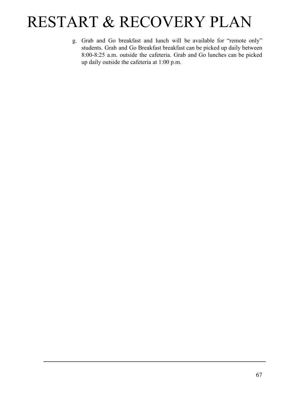g. Grab and Go breakfast and lunch will be available for "remote only" students. Grab and Go Breakfast breakfast can be picked up daily between 8:00-8:25 a.m. outside the cafeteria. Grab and Go lunches can be picked up daily outside the cafeteria at 1:00 p.m.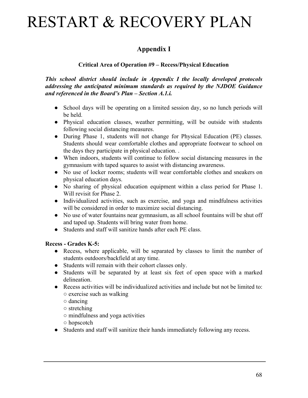### **Appendix I**

#### **Critical Area of Operation #9 – Recess/Physical Education**

*This school district should include in Appendix I the locally developed protocols addressing the anticipated minimum standards as required by the NJDOE Guidance and referenced in the Board's Plan – Section A.1.i.*

- School days will be operating on a limited session day, so no lunch periods will be held.
- Physical education classes, weather permitting, will be outside with students following social distancing measures.
- During Phase 1, students will not change for Physical Education (PE) classes. Students should wear comfortable clothes and appropriate footwear to school on the days they participate in physical education. .
- When indoors, students will continue to follow social distancing measures in the gymnasium with taped squares to assist with distancing awareness.
- No use of locker rooms; students will wear comfortable clothes and sneakers on physical education days.
- No sharing of physical education equipment within a class period for Phase 1. Will revisit for Phase 2.
- Individualized activities, such as exercise, and yoga and mindfulness activities will be considered in order to maximize social distancing.
- No use of water fountains near gymnasium, as all school fountains will be shut off and taped up. Students will bring water from home.
- Students and staff will sanitize hands after each PE class.

#### **Recess - Grades K-5:**

- Recess, where applicable, will be separated by classes to limit the number of students outdoors/backfield at any time.
- Students will remain with their cohort classes only.
- Students will be separated by at least six feet of open space with a marked delineation.
- Recess activities will be individualized activities and include but not be limited to: ○ exercise such as walking
	- dancing
	- stretching
	- mindfulness and yoga activities
	- hopscotch
- Students and staff will sanitize their hands immediately following any recess.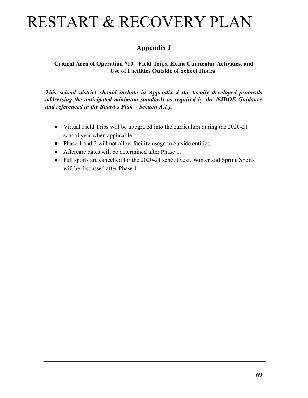### **Appendix J**

#### **Critical Area of Operation #10 - Field Trips, Extra-Curricular Activities, and Use of Facilities Outside of School Hours**

*This school district should include in Appendix J the locally developed protocols addressing the anticipated minimum standards as required by the NJDOE Guidance and referenced in the Board's Plan – Section A.1.j.*

- Virtual Field Trips will be integrated into the curriculum during the 2020-21 school year when applicable.
- Phase 1 and 2 will not allow facility usage to outside entities.
- Aftercare dates will be determined after Phase 1.
- Fall sports are cancelled for the 2020-21 school year. Winter and Spring Sports will be discussed after Phase 1.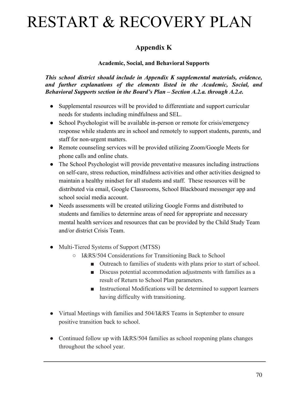### **Appendix K**

#### **Academic, Social, and Behavioral Supports**

*This school district should include in Appendix K supplemental materials, evidence, and further explanations of the elements listed in the Academic, Social, and Behavioral Supports section in the Board's Plan – Section A.2.a. through A.2.e.*

- Supplemental resources will be provided to differentiate and support curricular needs for students including mindfulness and SEL.
- School Psychologist will be available in-person or remote for crisis/emergency response while students are in school and remotely to support students, parents, and staff for non-urgent matters.
- Remote counseling services will be provided utilizing Zoom/Google Meets for phone calls and online chats.
- The School Psychologist will provide preventative measures including instructions on self-care, stress reduction, mindfulness activities and other activities designed to maintain a healthy mindset for all students and staff. These resources will be distributed via email, Google Classrooms, School Blackboard messenger app and school social media account.
- Needs assessments will be created utilizing Google Forms and distributed to students and families to determine areas of need for appropriate and necessary mental health services and resources that can be provided by the Child Study Team and/or district Crisis Team.
- Multi-Tiered Systems of Support (MTSS)
	- I&RS/504 Considerations for Transitioning Back to School
		- Outreach to families of students with plans prior to start of school.
		- Discuss potential accommodation adjustments with families as a result of Return to School Plan parameters.
		- Instructional Modifications will be determined to support learners having difficulty with transitioning.
- Virtual Meetings with families and 504/I&RS Teams in September to ensure positive transition back to school.
- Continued follow up with I&RS/504 families as school reopening plans changes throughout the school year.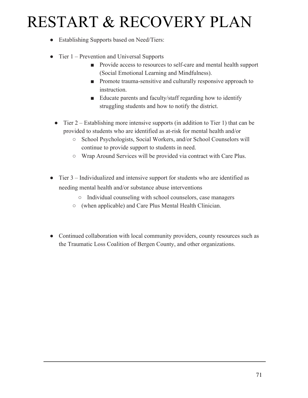- Establishing Supports based on Need/Tiers:
- Tier 1 Prevention and Universal Supports
	- Provide access to resources to self-care and mental health support (Social Emotional Learning and Mindfulness).
	- Promote trauma-sensitive and culturally responsive approach to instruction.
	- Educate parents and faculty/staff regarding how to identify struggling students and how to notify the district.
	- Tier 2 Establishing more intensive supports (in addition to Tier 1) that can be provided to students who are identified as at-risk for mental health and/or
		- **○** School Psychologists, Social Workers, and/or School Counselors will continue to provide support to students in need.
		- **○** Wrap Around Services will be provided via contract with Care Plus.
- Tier 3 Individualized and intensive support for students who are identified as needing mental health and/or substance abuse interventions
	- **○** Individual counseling with school counselors, case managers
	- (when applicable) and Care Plus Mental Health Clinician.
- **●** Continued collaboration with local community providers, county resources such as the Traumatic Loss Coalition of Bergen County, and other organizations.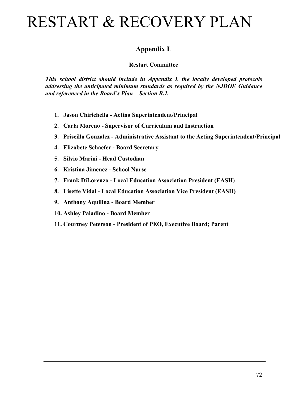### **Appendix L**

#### **Restart Committee**

*This school district should include in Appendix L the locally developed protocols addressing the anticipated minimum standards as required by the NJDOE Guidance and referenced in the Board's Plan – Section B.1.*

- **1. Jason Chirichella Acting Superintendent/Principal**
- **2. Carla Moreno Supervisor of Curriculum and Instruction**
- **3. Priscilla Gonzalez Administrative Assistant to the Acting Superintendent/Principal**
- **4. Elizabete Schaefer Board Secretary**
- **5. Silvio Marini Head Custodian**
- **6. Kristina Jimenez School Nurse**
- **7. Frank DiLorenzo Local Education Association President (EASH)**
- **8. Lisette Vidal Local Education Association Vice President (EASH)**
- **9. Anthony Aquilina Board Member**
- **10. Ashley Paladino Board Member**
- **11. Courtney Peterson President of PEO, Executive Board; Parent**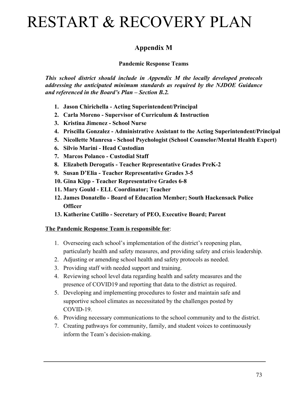### **Appendix M**

**Pandemic Response Teams**

*This school district should include in Appendix M the locally developed protocols addressing the anticipated minimum standards as required by the NJDOE Guidance and referenced in the Board's Plan – Section B.2.*

- **1. Jason Chirichella Acting Superintendent/Principal**
- **2. Carla Moreno Supervisor of Curriculum & Instruction**
- **3. Kristina Jimenez School Nurse**
- **4. Priscilla Gonzalez Administrative Assistant to the Acting Superintendent/Principal**
- **5. Nicollette Manresa School Psychologist (School Counselor/Mental Health Expert)**
- **6. Silvio Marini Head Custodian**
- **7. Marcos Polanco Custodial Staff**
- **8. Elizabeth Derogatis Teacher Representative Grades PreK-2**
- **9. Susan D'Elia Teacher Representative Grades 3-5**
- **10. Gina Kipp Teacher Representative Grades 6-8**
- **11. Mary Gould ELL Coordinator; Teacher**
- **12. James Donatello Board of Education Member; South Hackensack Police Officer**
- **13. Katherine Cutillo Secretary of PEO, Executive Board; Parent**

#### **The Pandemic Response Team is responsible for**:

- 1. Overseeing each school's implementation of the district's reopening plan, particularly health and safety measures, and providing safety and crisis leadership.
- 2. Adjusting or amending school health and safety protocols as needed.
- 3. Providing staff with needed support and training.
- 4. Reviewing school level data regarding health and safety measures and the presence of COVID19 and reporting that data to the district as required.
- 5. Developing and implementing procedures to foster and maintain safe and supportive school climates as necessitated by the challenges posted by COVID-19.
- 6. Providing necessary communications to the school community and to the district.
- 7. Creating pathways for community, family, and student voices to continuously inform the Team's decision-making.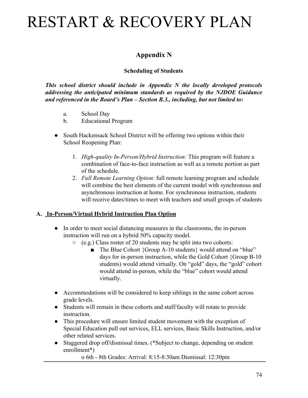### **Appendix N**

### **Scheduling of Students**

*This school district should include in Appendix N the locally developed protocols addressing the anticipated minimum standards as required by the NJDOE Guidance and referenced in the Board's Plan – Section B.3., including, but not limited to:*

- a. School Day
- b. Educational Program
- South Hackensack School District will be offering two options within their School Reopening Plan:
	- 1. *High-quality In-Person/Hybrid Instruction:* This program will feature a combination of face-to-face instruction as well as a remote portion as part of the schedule.
	- 2. *Full Remote Learning Option*: full remote learning program and schedule will combine the best elements of the current model with synchronous and asynchronous instruction at home. For synchronous instruction, students will receive dates/times to meet with teachers and small groups of students

#### **A. In-Person/Virtual Hybrid Instruction Plan Option**

- In order to meet social distancing measures in the classrooms, the in-person instruction will run on a hybrid 50% capacity model.
	- $\circ$  (e.g.) Class roster of 20 students may be split into two cohorts:
		- The Blue Cohort {Group A-10 students} would attend on "blue" days for in-person instruction, while the Gold Cohort {Group B-10 students) would attend virtually. On "gold" days, the "gold" cohort would attend in-person, while the "blue" cohort would attend virtually.
- Accommodations will be considered to keep siblings in the same cohort across grade levels.
- Students will remain in these cohorts and staff/faculty will rotate to provide instruction.
- This procedure will ensure limited student movement with the exception of Special Education pull out services, ELL services, Basic Skills Instruction, and/or other related services.
- Staggered drop off/dismissal times. (\*Subject to change, depending on student enrollment\*)

o 6th - 8th Grades: Arrival: 8:15-8:30am Dismissal: 12:30pm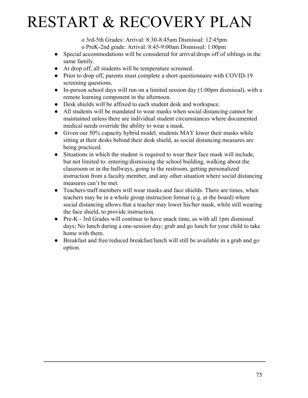o 3rd-5th Grades: Arrival: 8:30-8:45am Dismissal: 12:45pm

o PreK-2nd grade: Arrival: 8:45-9:00am Dismissal: 1:00pm

- Special accommodations will be considered for arrival/drops off of siblings in the same family.
- At drop off, all students will be temperature screened.
- Prior to drop off, parents must complete a short questionnaire with COVID-19 screening questions.
- In-person school days will run on a limited session day  $(1:00 \text{pm}$  dismissal), with a remote learning component in the afternoon.
- Desk shields will be affixed to each student desk and workspace.
- All students will be mandated to wear masks when social distancing cannot be maintained unless there are individual student circumstances where documented medical needs override the ability to wear a mask.
- Given our 50% capacity hybrid model, students MAY lower their masks while sitting at their desks behind their desk shield, as social distancing measures are being practiced.
- Situations in which the student is required to wear their face mask will include, but not limited to: entering/dismissing the school building, walking about the classroom or in the hallways, going to the restroom, getting personalized instruction from a faculty member, and any other situation where social distancing measures can't be met.
- Teachers/staff members will wear masks and face shields. There are times, when teachers may be in a whole group instruction format (e.g. at the board) where social distancing allows that a teacher may lower his/her mask, while still wearing the face shield, to provide instruction.
- Pre-K 3rd Grades will continue to have snack time, as with all 1pm dismissal days; No lunch during a one-session day; grab and go lunch for your child to take home with them.
- Breakfast and free/reduced breakfast/lunch will still be available in a grab and go option.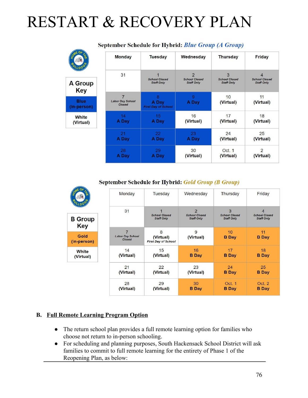|                            | <b>Monday</b>                     | <b>Tuesday</b>                      | Wednesday            | <b>Thursday</b>      | Friday               |
|----------------------------|-----------------------------------|-------------------------------------|----------------------|----------------------|----------------------|
|                            | 31                                |                                     | $\overline{2}$       | 3                    | 4                    |
| <b>A Group</b>             |                                   | <b>School Closed</b>                | <b>School Closed</b> | <b>School Closed</b> | <b>School Closed</b> |
| <b>Key</b>                 |                                   | <b>Staff Only</b>                   | <b>Staff Only</b>    | <b>Staff Only</b>    | <b>Staff Only</b>    |
|                            | 7                                 | 8                                   | 9                    | 10                   | 11                   |
| <b>Blue</b><br>(in-person) | <b>Labor Day School</b><br>Closed | A Day<br><b>First Day of School</b> | A Day                | (Virtual)            | (Virtual)            |
| White                      | 14                                | 15                                  | 16                   | 17                   | 18                   |
| (Virtual)                  | A Day                             | A Day                               | (Virtual)            | (Virtual)            | (Virtual)            |
|                            | 21                                | 22                                  | 23                   | 24                   | 25                   |
|                            | A Day                             | A Day                               | A Day                | (Virtual)            | (Virtual)            |
|                            | 28                                | 29                                  | 30                   | Oct. 1               | $\overline{2}$       |
|                            | A Day                             | A Day                               | (Virtual)            | (Virtual)            | (Virtual)            |

### September Schedule for Hybrid: Blue Group (A Group)

September Schedule for Hybrid: Gold Group (B Group)

|                       | Monday                            | Tuesday                                   | Wednesday                                 | Thursday                                  | Friday                                    |
|-----------------------|-----------------------------------|-------------------------------------------|-------------------------------------------|-------------------------------------------|-------------------------------------------|
|                       | 31                                |                                           | $\mathfrak{D}$                            | 3                                         | $\overline{4}$                            |
| <b>B</b> Group<br>Key |                                   | <b>School Closed</b><br><b>Staff Only</b> | <b>School Closed</b><br><b>Staff Only</b> | <b>School Closed</b><br><b>Staff Only</b> | <b>School Closed</b><br><b>Staff Only</b> |
|                       | $\overline{7}$                    | 8                                         | 9                                         | 10                                        | 11                                        |
| Gold<br>(in-person)   | <b>Labor Day School</b><br>Closed | (Virtual)<br><b>First Day of School</b>   | (Virtual)                                 | <b>B</b> Day                              | <b>B</b> Day                              |
| White<br>(Virtual)    | 14<br>(Virtual)                   | 15<br>(Virtual)                           | 16<br><b>B</b> Day                        | 17<br><b>B</b> Day                        | 18<br><b>B</b> Day                        |
|                       | 21<br>(Virtual)                   | 22<br>(Virtual)                           | 23<br>(Virtual)                           | 24<br><b>B</b> Day                        | 25<br><b>B</b> Day                        |
|                       | 28<br>(Virtual)                   | 29<br>(Virtual)                           | 30<br><b>B</b> Day                        | Oct. 1<br><b>B</b> Day                    | Oct. 2<br><b>B</b> Day                    |

#### **B. Full Remote Learning Program Option**

- The return school plan provides a full remote learning option for families who choose not return to in-person schooling.
- For scheduling and planning purposes, South Hackensack School District will ask families to commit to full remote learning for the entirety of Phase 1 of the Reopening Plan, as below: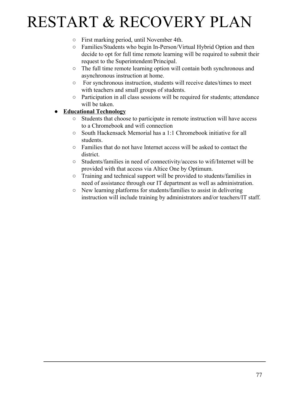- First marking period, until November 4th.
- Families/Students who begin In-Person/Virtual Hybrid Option and then decide to opt for full time remote learning will be required to submit their request to the Superintendent/Principal.
- The full time remote learning option will contain both synchronous and asynchronous instruction at home.
- For synchronous instruction, students will receive dates/times to meet with teachers and small groups of students.
- Participation in all class sessions will be required for students; attendance will be taken.

### **● Educational Technology**

- Students that choose to participate in remote instruction will have access to a Chromebook and wifi connection
- South Hackensack Memorial has a 1:1 Chromebook initiative for all students.
- Families that do not have Internet access will be asked to contact the district.
- Students/families in need of connectivity/access to wifi/Internet will be provided with that access via Altice One by Optimum.
- Training and technical support will be provided to students/families in need of assistance through our IT department as well as administration.
- New learning platforms for students/families to assist in delivering instruction will include training by administrators and/or teachers/IT staff.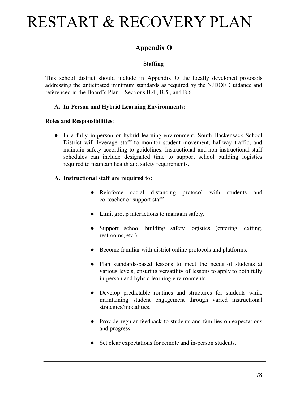### **Appendix O**

### **Staffing**

This school district should include in Appendix O the locally developed protocols addressing the anticipated minimum standards as required by the NJDOE Guidance and referenced in the Board's Plan – Sections B.4., B.5., and B.6.

### **A. In-Person and Hybrid Learning Environments:**

### **Roles and Responsibilities**:

• In a fully in-person or hybrid learning environment, South Hackensack School District will leverage staff to monitor student movement, hallway traffic, and maintain safety according to guidelines. Instructional and non-instructional staff schedules can include designated time to support school building logistics required to maintain health and safety requirements.

### **A. Instructional staff are required to:**

- Reinforce social distancing protocol with students and co-teacher or support staff.
- Limit group interactions to maintain safety.
- Support school building safety logistics (entering, exiting, restrooms, etc.).
- Become familiar with district online protocols and platforms.
- Plan standards-based lessons to meet the needs of students at various levels, ensuring versatility of lessons to apply to both fully in-person and hybrid learning environments.
- Develop predictable routines and structures for students while maintaining student engagement through varied instructional strategies/modalities.
- Provide regular feedback to students and families on expectations and progress.
- Set clear expectations for remote and in-person students.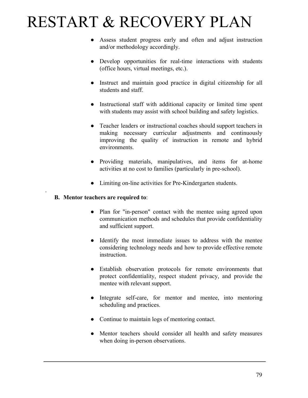- Assess student progress early and often and adjust instruction and/or methodology accordingly.
- Develop opportunities for real-time interactions with students (office hours, virtual meetings, etc.).
- Instruct and maintain good practice in digital citizenship for all students and staff.
- Instructional staff with additional capacity or limited time spent with students may assist with school building and safety logistics.
- Teacher leaders or instructional coaches should support teachers in making necessary curricular adjustments and continuously improving the quality of instruction in remote and hybrid environments.
- Providing materials, manipulatives, and items for at-home activities at no cost to families (particularly in pre-school).
- Limiting on-line activities for Pre-Kindergarten students.

#### **B. Mentor teachers are required to**:

.

- Plan for "in-person" contact with the mentee using agreed upon communication methods and schedules that provide confidentiality and sufficient support.
- Identify the most immediate issues to address with the mentee considering technology needs and how to provide effective remote instruction.
- Establish observation protocols for remote environments that protect confidentiality, respect student privacy, and provide the mentee with relevant support.
- Integrate self-care, for mentor and mentee, into mentoring scheduling and practices.
- Continue to maintain logs of mentoring contact.
- Mentor teachers should consider all health and safety measures when doing in-person observations.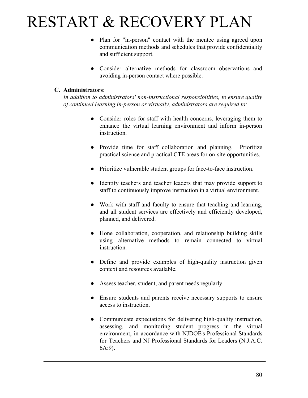- Plan for "in-person" contact with the mentee using agreed upon communication methods and schedules that provide confidentiality and sufficient support.
- Consider alternative methods for classroom observations and avoiding in-person contact where possible.

#### **C. Administrators**:

*In addition to administrators' non-instructional responsibilities, to ensure quality of continued learning in-person or virtually, administrators are required to:*

- Consider roles for staff with health concerns, leveraging them to enhance the virtual learning environment and inform in-person **instruction**
- Provide time for staff collaboration and planning. Prioritize practical science and practical CTE areas for on-site opportunities.
- Prioritize vulnerable student groups for face-to-face instruction.
- Identify teachers and teacher leaders that may provide support to staff to continuously improve instruction in a virtual environment.
- Work with staff and faculty to ensure that teaching and learning, and all student services are effectively and efficiently developed, planned, and delivered.
- Hone collaboration, cooperation, and relationship building skills using alternative methods to remain connected to virtual instruction.
- Define and provide examples of high-quality instruction given context and resources available.
- Assess teacher, student, and parent needs regularly.
- Ensure students and parents receive necessary supports to ensure access to instruction.
- Communicate expectations for delivering high-quality instruction, assessing, and monitoring student progress in the virtual environment, in accordance with NJDOE's Professional Standards for Teachers and NJ Professional Standards for Leaders (N.J.A.C. 6A:9).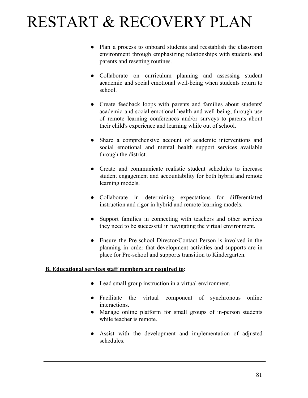- Plan a process to onboard students and reestablish the classroom environment through emphasizing relationships with students and parents and resetting routines.
- Collaborate on curriculum planning and assessing student academic and social emotional well-being when students return to school.
- Create feedback loops with parents and families about students' academic and social emotional health and well-being, through use of remote learning conferences and/or surveys to parents about their child's experience and learning while out of school.
- Share a comprehensive account of academic interventions and social emotional and mental health support services available through the district.
- Create and communicate realistic student schedules to increase student engagement and accountability for both hybrid and remote learning models.
- Collaborate in determining expectations for differentiated instruction and rigor in hybrid and remote learning models.
- Support families in connecting with teachers and other services they need to be successful in navigating the virtual environment.
- Ensure the Pre-school Director/Contact Person is involved in the planning in order that development activities and supports are in place for Pre-school and supports transition to Kindergarten.

#### **B. Educational services staff members are required to**:

- Lead small group instruction in a virtual environment.
- Facilitate the virtual component of synchronous online interactions.
- Manage online platform for small groups of in-person students while teacher is remote.
- Assist with the development and implementation of adjusted schedules.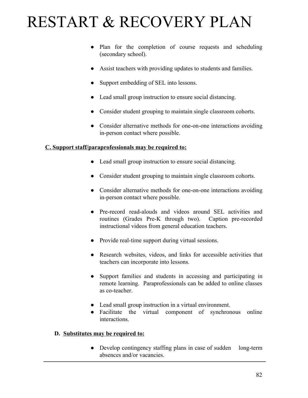- Plan for the completion of course requests and scheduling (secondary school).
- Assist teachers with providing updates to students and families.
- Support embedding of SEL into lessons.
- Lead small group instruction to ensure social distancing.
- Consider student grouping to maintain single classroom cohorts.
- Consider alternative methods for one-on-one interactions avoiding in-person contact where possible.

### **C. Support staff/paraprofessionals may be required to:**

- Lead small group instruction to ensure social distancing.
- Consider student grouping to maintain single classroom cohorts.
- Consider alternative methods for one-on-one interactions avoiding in-person contact where possible.
- Pre-record read-alouds and videos around SEL activities and routines (Grades Pre-K through two). Caption pre-recorded instructional videos from general education teachers.
- Provide real-time support during virtual sessions.
- Research websites, videos, and links for accessible activities that teachers can incorporate into lessons.
- Support families and students in accessing and participating in remote learning. Paraprofessionals can be added to online classes as co-teacher.
- Lead small group instruction in a virtual environment.
- Facilitate the virtual component of synchronous online interactions.

#### **D. Substitutes may be required to:**

• Develop contingency staffing plans in case of sudden long-term absences and/or vacancies.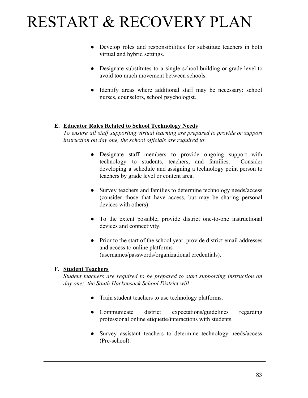- Develop roles and responsibilities for substitute teachers in both virtual and hybrid settings.
- Designate substitutes to a single school building or grade level to avoid too much movement between schools.
- Identify areas where additional staff may be necessary: school nurses, counselors, school psychologist.

#### **E. Educator Roles Related to School Technology Needs**

*To ensure all staff supporting virtual learning are prepared to provide or support instruction on day one, the school officials are required to*:

- Designate staff members to provide ongoing support with technology to students, teachers, and families. Consider developing a schedule and assigning a technology point person to teachers by grade level or content area.
- Survey teachers and families to determine technology needs/access (consider those that have access, but may be sharing personal devices with others).
- To the extent possible, provide district one-to-one instructional devices and connectivity.
- Prior to the start of the school year, provide district email addresses and access to online platforms (usernames/passwords/organizational credentials).

#### **F. Student Teachers**

*Student teachers are required to be prepared to start supporting instruction on day one; the South Hackensack School District will :*

- Train student teachers to use technology platforms.
- Communicate district expectations/guidelines regarding professional online etiquette/interactions with students.
- Survey assistant teachers to determine technology needs/access (Pre-school).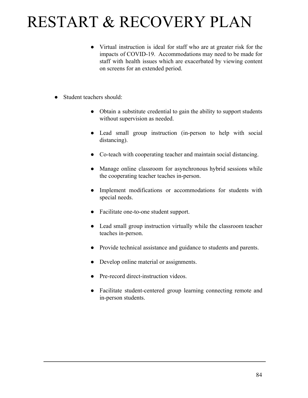- Virtual instruction is ideal for staff who are at greater risk for the impacts of COVID-19. Accommodations may need to be made for staff with health issues which are exacerbated by viewing content on screens for an extended period.
- Student teachers should:
	- Obtain a substitute credential to gain the ability to support students without supervision as needed.
	- Lead small group instruction (in-person to help with social distancing).
	- Co-teach with cooperating teacher and maintain social distancing.
	- Manage online classroom for asynchronous hybrid sessions while the cooperating teacher teaches in-person.
	- Implement modifications or accommodations for students with special needs.
	- Facilitate one-to-one student support.
	- Lead small group instruction virtually while the classroom teacher teaches in-person.
	- Provide technical assistance and guidance to students and parents.
	- Develop online material or assignments.
	- Pre-record direct-instruction videos.
	- Facilitate student-centered group learning connecting remote and in-person students.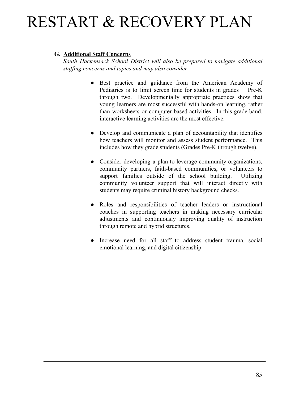#### **G. Additional Staff Concerns**

*South Hackensack School District will also be prepared to navigate additional staffing concerns and topics and may also consider:*

- Best practice and guidance from the American Academy of Pediatrics is to limit screen time for students in grades Pre-K through two. Developmentally appropriate practices show that young learners are most successful with hands-on learning, rather than worksheets or computer-based activities. In this grade band, interactive learning activities are the most effective.
- Develop and communicate a plan of accountability that identifies how teachers will monitor and assess student performance. This includes how they grade students (Grades Pre-K through twelve).
- Consider developing a plan to leverage community organizations, community partners, faith-based communities, or volunteers to support families outside of the school building. Utilizing community volunteer support that will interact directly with students may require criminal history background checks.
- Roles and responsibilities of teacher leaders or instructional coaches in supporting teachers in making necessary curricular adjustments and continuously improving quality of instruction through remote and hybrid structures.
- Increase need for all staff to address student trauma, social emotional learning, and digital citizenship.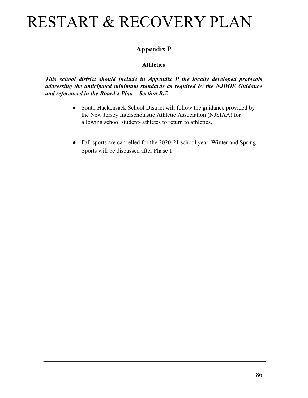### **Appendix P**

### **Athletics**

*This school district should include in Appendix P the locally developed protocols addressing the anticipated minimum standards as required by the NJDOE Guidance and referenced in the Board's Plan – Section B.7.*

- South Hackensack School District will follow the guidance provided by the New Jersey Interscholastic Athletic Association (NJSIAA) for allowing school student- athletes to return to athletics.
- Fall sports are cancelled for the 2020-21 school year. Winter and Spring Sports will be discussed after Phase 1.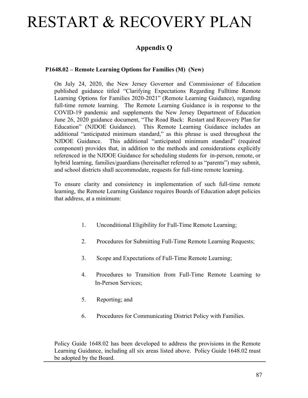### **Appendix Q**

#### **P1648.02 – Remote Learning Options for Families (M) (New)**

On July 24, 2020, the New Jersey Governor and Commissioner of Education published guidance titled "Clarifying Expectations Regarding Fulltime Remote Learning Options for Families 2020-2021" (Remote Learning Guidance), regarding full-time remote learning. The Remote Learning Guidance is in response to the COVID-19 pandemic and supplements the New Jersey Department of Education June 26, 2020 guidance document, "The Road Back: Restart and Recovery Plan for Education" (NJDOE Guidance). This Remote Learning Guidance includes an additional "anticipated minimum standard," as this phrase is used throughout the NJDOE Guidance. This additional "anticipated minimum standard" (required component) provides that, in addition to the methods and considerations explicitly referenced in the NJDOE Guidance for scheduling students for in-person, remote, or hybrid learning, families/guardians (hereinafter referred to as "parents") may submit, and school districts shall accommodate, requests for full-time remote learning.

To ensure clarity and consistency in implementation of such full-time remote learning, the Remote Learning Guidance requires Boards of Education adopt policies that address, at a minimum:

- 1. Unconditional Eligibility for Full-Time Remote Learning;
- 2. Procedures for Submitting Full-Time Remote Learning Requests;
- 3. Scope and Expectations of Full-Time Remote Learning;
- 4. Procedures to Transition from Full-Time Remote Learning to In-Person Services;
- 5. Reporting; and
- 6. Procedures for Communicating District Policy with Families.

Policy Guide 1648.02 has been developed to address the provisions in the Remote Learning Guidance, including all six areas listed above. Policy Guide 1648.02 must be adopted by the Board.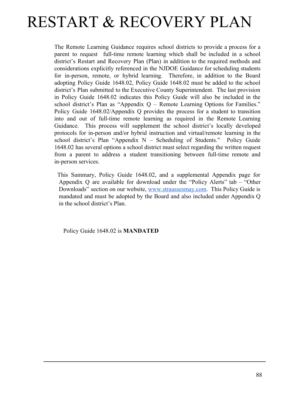The Remote Learning Guidance requires school districts to provide a process for a parent to request full-time remote learning which shall be included in a school district's Restart and Recovery Plan (Plan) in addition to the required methods and considerations explicitly referenced in the NJDOE Guidance for scheduling students for in-person, remote, or hybrid learning. Therefore, in addition to the Board adopting Policy Guide 1648.02, Policy Guide 1648.02 must be added to the school district's Plan submitted to the Executive County Superintendent. The last provision in Policy Guide 1648.02 indicates this Policy Guide will also be included in the school district's Plan as "Appendix Q – Remote Learning Options for Families." Policy Guide 1648.02/Appendix Q provides the process for a student to transition into and out of full-time remote learning as required in the Remote Learning Guidance. This process will supplement the school district's locally developed protocols for in-person and/or hybrid instruction and virtual/remote learning in the school district's Plan "Appendix N – Scheduling of Students." Policy Guide 1648.02 has several options a school district must select regarding the written request from a parent to address a student transitioning between full-time remote and in-person services.

This Summary, Policy Guide 1648.02, and a supplemental Appendix page for Appendix Q are available for download under the "Policy Alerts" tab – "Other Downloads" section on our website, [www.straussesmay.com](http://www.straussesmay.com/). This Policy Guide is mandated and must be adopted by the Board and also included under Appendix Q in the school district's Plan.

Policy Guide 1648.02 is **MANDATED**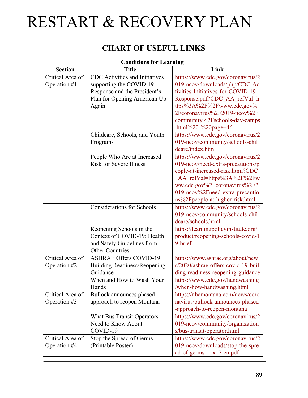### **CHART OF USEFUL LINKS**

| <b>Conditions for Learning</b>   |                                                                                                                                    |                                                                                                                                                                                                                                               |  |
|----------------------------------|------------------------------------------------------------------------------------------------------------------------------------|-----------------------------------------------------------------------------------------------------------------------------------------------------------------------------------------------------------------------------------------------|--|
| <b>Section</b>                   | <b>Title</b>                                                                                                                       | Link                                                                                                                                                                                                                                          |  |
| Critical Area of<br>Operation #1 | CDC Activities and Initiatives<br>supporting the COVID-19<br>Response and the President's<br>Plan for Opening American Up<br>Again | https://www.cdc.gov/coronavirus/2<br>019-neov/downloads/php/CDC-Ac<br>tivities-Initiatives-for-COVID-19-<br>Response.pdf?CDC AA refVal=h<br>ttps%3A%2F%2Fwww.cdc.gov%                                                                         |  |
|                                  |                                                                                                                                    | 2Fcoronavirus%2F2019-ncov%2F<br>community%2Fschools-day-camps<br>.html%20-%20page=46                                                                                                                                                          |  |
|                                  | Childcare, Schools, and Youth<br>Programs                                                                                          | https://www.cdc.gov/coronavirus/2<br>019-neov/community/schools-chil<br>dcare/index.html                                                                                                                                                      |  |
|                                  | People Who Are at Increased<br><b>Risk for Severe Illness</b>                                                                      | https://www.cdc.gov/coronavirus/2<br>019-neov/need-extra-precautions/p<br>eople-at-increased-risk.html?CDC<br>AA refVal=https%3A%2F%2Fw<br>ww.cdc.gov%2Fcoronavirus%2F2<br>019-ncov%2Fneed-extra-precautio<br>ns%2Fpeople-at-higher-risk.html |  |
|                                  | <b>Considerations for Schools</b>                                                                                                  | https://www.cdc.gov/coronavirus/2<br>019-neov/community/schools-chil<br>dcare/schools.html                                                                                                                                                    |  |
|                                  | Reopening Schools in the<br>Context of COVID-19: Health<br>and Safety Guidelines from<br><b>Other Countries</b>                    | https://learningpolicyinstitute.org/<br>product/reopening-schools-covid-1<br>9-brief                                                                                                                                                          |  |
| Critical Area of<br>Operation #2 | <b>ASHRAE Offers COVID-19</b><br><b>Building Readiness/Reopening</b><br>Guidance<br>When and How to Wash Your<br>Hands             | https://www.ashrae.org/about/new<br>s/2020/ashrae-offers-covid-19-buil<br>ding-readiness-reopening-guidance<br>https://www.cdc.gov/handwashing<br>/when-how-handwashing.html                                                                  |  |
| Critical Area of<br>Operation #3 | Bullock announces phased<br>approach to reopen Montana                                                                             | https://nbcmontana.com/news/coro<br>navirus/bullock-announces-phased<br>-approach-to-reopen-montana                                                                                                                                           |  |
|                                  | <b>What Bus Transit Operators</b><br>Need to Know About<br>COVID-19                                                                | https://www.cdc.gov/coronavirus/2<br>019-neov/community/organization<br>s/bus-transit-operator.html                                                                                                                                           |  |
| Critical Area of<br>Operation #4 | Stop the Spread of Germs<br>(Printable Poster)                                                                                     | https://www.cdc.gov/coronavirus/2<br>019-neov/downloads/stop-the-spre<br>ad-of-germs-11x17-en.pdf                                                                                                                                             |  |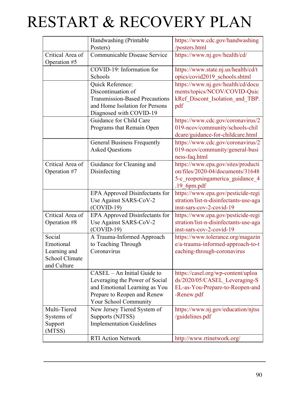| Communicable Disease Service<br>Critical Area of<br>https://www.nj.gov/health/cd/<br>Operation #5<br>COVID-19: Information for<br>https://www.state.nj.us/health/cd/t<br>opics/covid2019 schools.shtml<br>Schools<br>https://www.nj.gov/health/cd/docu<br>Quick Reference:<br>Discontinuation of<br>ments/topics/NCOV/COVID-Quic<br><b>Transmission-Based Precautions</b><br>kRef Discont Isolation and TBP.<br>and Home Isolation for Persons<br>pdf<br>Diagnosed with COVID-19 |
|----------------------------------------------------------------------------------------------------------------------------------------------------------------------------------------------------------------------------------------------------------------------------------------------------------------------------------------------------------------------------------------------------------------------------------------------------------------------------------|
|                                                                                                                                                                                                                                                                                                                                                                                                                                                                                  |
|                                                                                                                                                                                                                                                                                                                                                                                                                                                                                  |
|                                                                                                                                                                                                                                                                                                                                                                                                                                                                                  |
|                                                                                                                                                                                                                                                                                                                                                                                                                                                                                  |
|                                                                                                                                                                                                                                                                                                                                                                                                                                                                                  |
|                                                                                                                                                                                                                                                                                                                                                                                                                                                                                  |
|                                                                                                                                                                                                                                                                                                                                                                                                                                                                                  |
|                                                                                                                                                                                                                                                                                                                                                                                                                                                                                  |
| Guidance for Child Care<br>https://www.cdc.gov/coronavirus/2                                                                                                                                                                                                                                                                                                                                                                                                                     |
| Programs that Remain Open<br>019-ncov/community/schools-chil                                                                                                                                                                                                                                                                                                                                                                                                                     |
| dcare/guidance-for-childcare.html                                                                                                                                                                                                                                                                                                                                                                                                                                                |
| <b>General Business Frequently</b><br>https://www.cdc.gov/coronavirus/2                                                                                                                                                                                                                                                                                                                                                                                                          |
| <b>Asked Questions</b><br>019-ncov/community/general-busi                                                                                                                                                                                                                                                                                                                                                                                                                        |
| ness-faq.html                                                                                                                                                                                                                                                                                                                                                                                                                                                                    |
| Critical Area of<br>https://www.epa.gov/sites/producti<br>Guidance for Cleaning and<br>on/files/2020-04/documents/31648                                                                                                                                                                                                                                                                                                                                                          |
| Operation #7<br>Disinfecting                                                                                                                                                                                                                                                                                                                                                                                                                                                     |
| 5-c_reopeningamerica_guidance_4<br>$.19$ 6pm.pdf                                                                                                                                                                                                                                                                                                                                                                                                                                 |
| https://www.epa.gov/pesticide-regi<br>EPA Approved Disinfectants for                                                                                                                                                                                                                                                                                                                                                                                                             |
| Use Against SARS-CoV-2<br>stration/list-n-disinfectants-use-aga                                                                                                                                                                                                                                                                                                                                                                                                                  |
| $(COVID-19)$<br>inst-sars-cov-2-covid-19                                                                                                                                                                                                                                                                                                                                                                                                                                         |
| Critical Area of<br>EPA Approved Disinfectants for<br>https://www.epa.gov/pesticide-regi                                                                                                                                                                                                                                                                                                                                                                                         |
| Operation #8<br>Use Against SARS-CoV-2<br>stration/list-n-disinfectants-use-aga                                                                                                                                                                                                                                                                                                                                                                                                  |
| $(COVID-19)$<br>inst-sars-cov-2-covid-19                                                                                                                                                                                                                                                                                                                                                                                                                                         |
| Social<br>A Trauma-Informed Approach<br>https://www.tolerance.org/magazin                                                                                                                                                                                                                                                                                                                                                                                                        |
| Emotional<br>to Teaching Through<br>e/a-trauma-informed-approach-to-t                                                                                                                                                                                                                                                                                                                                                                                                            |
| Learning and<br>Coronavirus<br>eaching-through-coronavirus                                                                                                                                                                                                                                                                                                                                                                                                                       |
| School Climate                                                                                                                                                                                                                                                                                                                                                                                                                                                                   |
| and Culture                                                                                                                                                                                                                                                                                                                                                                                                                                                                      |
| CASEL – An Initial Guide to<br>https://casel.org/wp-content/uploa                                                                                                                                                                                                                                                                                                                                                                                                                |
| ds/2020/05/CASEL Leveraging-S<br>Leveraging the Power of Social                                                                                                                                                                                                                                                                                                                                                                                                                  |
| and Emotional Learning as You<br>EL-as-You-Prepare-to-Reopen-and                                                                                                                                                                                                                                                                                                                                                                                                                 |
| Prepare to Reopen and Renew<br>-Renew.pdf                                                                                                                                                                                                                                                                                                                                                                                                                                        |
| Your School Community                                                                                                                                                                                                                                                                                                                                                                                                                                                            |
| Multi-Tiered<br>New Jersey Tiered System of<br>https://www.nj.gov/education/njtss                                                                                                                                                                                                                                                                                                                                                                                                |
| Supports (NJTSS)<br>/guidelines.pdf<br>Systems of                                                                                                                                                                                                                                                                                                                                                                                                                                |
| <b>Implementation Guidelines</b><br>Support                                                                                                                                                                                                                                                                                                                                                                                                                                      |
| (MTSS)<br><b>RTI Action Network</b><br>http://www.rtinetwork.org/                                                                                                                                                                                                                                                                                                                                                                                                                |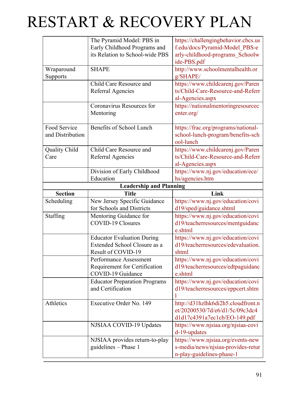|                      | The Pyramid Model: PBS in            | https://challengingbehavior.cbcs.us |
|----------------------|--------------------------------------|-------------------------------------|
|                      | Early Childhood Programs and         | f.edu/docs/Pyramid-Model_PBS-e      |
|                      | its Relation to School-wide PBS      | arly-childhood-programs_Schoolw     |
|                      |                                      | ide-PBS.pdf                         |
| Wraparound           | <b>SHAPE</b>                         | http://www.schoolmentalhealth.or    |
| Supports             |                                      | g/SHAPE/                            |
|                      | Child Care Resource and              | https://www.childcarenj.gov/Paren   |
|                      | Referral Agencies                    | ts/Child-Care-Resource-and-Referr   |
|                      |                                      | al-Agencies.aspx                    |
|                      | Coronavirus Resources for            | https://nationalmentoringresourcec  |
|                      | Mentoring                            | enter.org/                          |
| Food Service         | <b>Benefits of School Lunch</b>      | https://frac.org/programs/national- |
| and Distribution     |                                      | school-lunch-program/benefits-sch   |
|                      |                                      | ool-lunch                           |
| <b>Quality Child</b> | Child Care Resource and              | https://www.childcarenj.gov/Paren   |
| Care                 | Referral Agencies                    | ts/Child-Care-Resource-and-Referr   |
|                      |                                      | al-Agencies.aspx                    |
|                      | Division of Early Childhood          | https://www.nj.gov/education/ece/   |
|                      | Education                            | hs/agencies.htm                     |
|                      | <b>Leadership and Planning</b>       |                                     |
| <b>Section</b>       | <b>Title</b>                         | Link                                |
| Scheduling           | New Jersey Specific Guidance         | https://www.nj.gov/education/covi   |
|                      | for Schools and Districts            | d19/sped/guidance.shtml             |
| Staffing             | Mentoring Guidance for               | https://www.nj.gov/education/covi   |
|                      | COVID-19 Closures                    | d19/teacherresources/mentguidanc    |
|                      |                                      | e.shtml                             |
|                      | <b>Educator Evaluation During</b>    | https://www.nj.gov/education/covi   |
|                      | Extended School Closure as a         | d19/teacherresources/edevaluation.  |
|                      | Result of COVID-19                   | shtml                               |
|                      | Performance Assessment               | https://www.nj.gov/education/covi   |
|                      | Requirement for Certification        | d19/teacherresources/edtpaguidanc   |
|                      | COVID-19 Guidance                    | e.shtml                             |
|                      | <b>Educator Preparation Programs</b> | https://www.nj.gov/education/covi   |
|                      | and Certification                    | d19/teacherresources/eppcert.shtm   |
|                      |                                      |                                     |
| Athletics            | Executive Order No. 149              | http://d31hzlhk6di2h5.cloudfront.n  |
|                      |                                      | et/20200530/7d/e6/d1/5c/09c3dc4     |
|                      |                                      | d1d17c4391a7ec1cb/EO-149.pdf        |
|                      | NJSIAA COVID-19 Updates              | https://www.njsiaa.org/njsiaa-covi  |
|                      |                                      | d-19-updates                        |
|                      | NJSIAA provides return-to-play       | https://www.njsiaa.org/events-new   |
|                      | guidelines - Phase 1                 | s-media/news/njsiaa-provides-retur  |
|                      |                                      |                                     |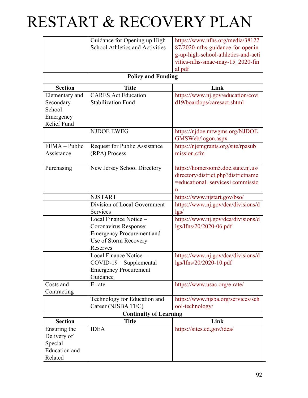|                           | Guidance for Opening up High           | https://www.nfhs.org/media/38122    |  |
|---------------------------|----------------------------------------|-------------------------------------|--|
|                           | <b>School Athletics and Activities</b> | 87/2020-nfhs-guidance-for-openin    |  |
|                           |                                        | g-up-high-school-athletics-and-acti |  |
|                           |                                        | vities-nfhs-smac-may-15_2020-fin    |  |
|                           |                                        | al.pdf                              |  |
| <b>Policy and Funding</b> |                                        |                                     |  |
| <b>Section</b>            | <b>Title</b>                           | Link                                |  |
| Elementary and            | <b>CARES</b> Act Education             | https://www.nj.gov/education/covi   |  |
| Secondary                 | <b>Stabilization Fund</b>              | d19/boardops/caresact.shtml         |  |
| School                    |                                        |                                     |  |
| Emergency                 |                                        |                                     |  |
| <b>Relief Fund</b>        |                                        |                                     |  |
|                           | <b>NJDOE EWEG</b>                      | https://njdoe.mtwgms.org/NJDOE      |  |
|                           |                                        | GMSWeb/logon.aspx                   |  |
| FEMA - Public             | <b>Request for Public Assistance</b>   | https://njemgrants.org/site/rpasub  |  |
| Assistance                | (RPA) Process                          | mission.cfm                         |  |
|                           |                                        |                                     |  |
| Purchasing                | New Jersey School Directory            | https://homeroom5.doe.state.nj.us/  |  |
|                           |                                        | directory/district.php?districtname |  |
|                           |                                        | =educational+services+commissio     |  |
|                           |                                        | n                                   |  |
|                           | <b>NJSTART</b>                         | https://www.njstart.gov/bso/        |  |
|                           | Division of Local Government           | https://www.nj.gov/dca/divisions/d  |  |
|                           | Services                               | lgs/                                |  |
|                           | Local Finance Notice -                 | https://www.nj.gov/dca/divisions/d  |  |
|                           | Coronavirus Response:                  | lgs/lfns/20/2020-06.pdf             |  |
|                           | <b>Emergency Procurement and</b>       |                                     |  |
|                           | Use of Storm Recovery                  |                                     |  |
|                           | Reserves                               |                                     |  |
|                           | Local Finance Notice -                 | https://www.nj.gov/dca/divisions/d  |  |
|                           | $COVID-19-Supplemental$                | lgs/lfns/20/2020-10.pdf             |  |
|                           | <b>Emergency Procurement</b>           |                                     |  |
|                           | Guidance                               |                                     |  |
| Costs and                 | E-rate                                 | https://www.usac.org/e-rate/        |  |
| Contracting               |                                        |                                     |  |
|                           | Technology for Education and           | https://www.njsba.org/services/sch  |  |
|                           | Career (NJSBA TEC)                     | ool-technology/                     |  |
|                           | <b>Continuity of Learning</b>          |                                     |  |
| <b>Section</b>            | <b>Title</b>                           | Link                                |  |
| Ensuring the              | <b>IDEA</b>                            | https://sites.ed.gov/idea/          |  |
| Delivery of               |                                        |                                     |  |
| Special                   |                                        |                                     |  |
| <b>Education</b> and      |                                        |                                     |  |
| Related                   |                                        |                                     |  |